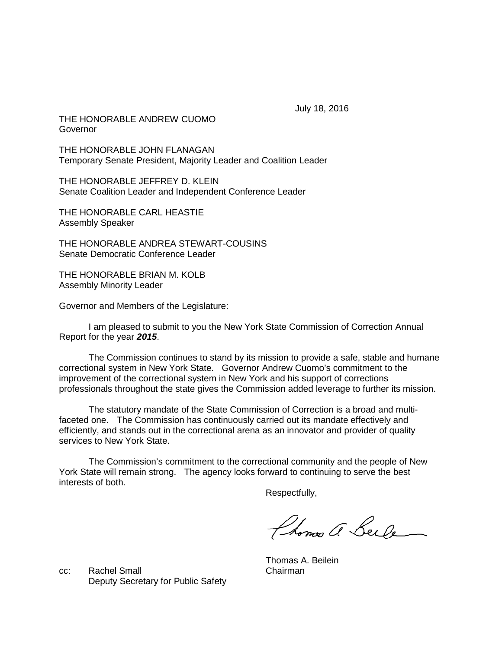July 18, 2016

THE HONORABLE ANDREW CUOMO Governor

THE HONORABLE JOHN FLANAGAN Temporary Senate President, Majority Leader and Coalition Leader

THE HONORABLE JEFFREY D. KLEIN Senate Coalition Leader and Independent Conference Leader

THE HONORABLE CARL HEASTIE Assembly Speaker

THE HONORABLE ANDREA STEWART-COUSINS Senate Democratic Conference Leader

THE HONORABLE BRIAN M. KOLB Assembly Minority Leader

Governor and Members of the Legislature:

I am pleased to submit to you the New York State Commission of Correction Annual Report for the year *2015*.

The Commission continues to stand by its mission to provide a safe, stable and humane correctional system in New York State. Governor Andrew Cuomo's commitment to the improvement of the correctional system in New York and his support of corrections professionals throughout the state gives the Commission added leverage to further its mission.

The statutory mandate of the State Commission of Correction is a broad and multifaceted one. The Commission has continuously carried out its mandate effectively and efficiently, and stands out in the correctional arena as an innovator and provider of quality services to New York State.

The Commission's commitment to the correctional community and the people of New York State will remain strong. The agency looks forward to continuing to serve the best interests of both.

Respectfully,

Phonos a Beile

cc: Rachel Small Chairman Deputy Secretary for Public Safety

Thomas A. Beilein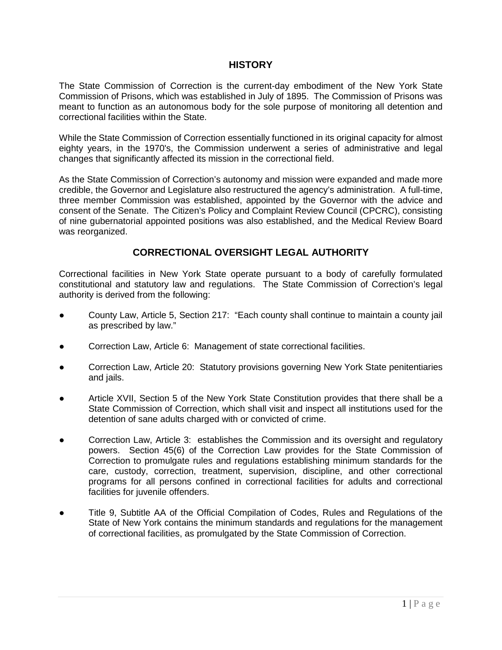# **HISTORY**

The State Commission of Correction is the current-day embodiment of the New York State Commission of Prisons, which was established in July of 1895. The Commission of Prisons was meant to function as an autonomous body for the sole purpose of monitoring all detention and correctional facilities within the State.

While the State Commission of Correction essentially functioned in its original capacity for almost eighty years, in the 1970's, the Commission underwent a series of administrative and legal changes that significantly affected its mission in the correctional field.

As the State Commission of Correction's autonomy and mission were expanded and made more credible, the Governor and Legislature also restructured the agency's administration. A full-time, three member Commission was established, appointed by the Governor with the advice and consent of the Senate. The Citizen's Policy and Complaint Review Council (CPCRC), consisting of nine gubernatorial appointed positions was also established, and the Medical Review Board was reorganized.

# **CORRECTIONAL OVERSIGHT LEGAL AUTHORITY**

Correctional facilities in New York State operate pursuant to a body of carefully formulated constitutional and statutory law and regulations. The State Commission of Correction's legal authority is derived from the following:

- County Law, Article 5, Section 217: "Each county shall continue to maintain a county jail as prescribed by law."
- Correction Law, Article 6: Management of state correctional facilities.
- Correction Law, Article 20: Statutory provisions governing New York State penitentiaries and jails.
- Article XVII, Section 5 of the New York State Constitution provides that there shall be a State Commission of Correction, which shall visit and inspect all institutions used for the detention of sane adults charged with or convicted of crime.
- Correction Law, Article 3: establishes the Commission and its oversight and regulatory powers. Section 45(6) of the Correction Law provides for the State Commission of Correction to promulgate rules and regulations establishing minimum standards for the care, custody, correction, treatment, supervision, discipline, and other correctional programs for all persons confined in correctional facilities for adults and correctional facilities for juvenile offenders.
- Title 9, Subtitle AA of the Official Compilation of Codes, Rules and Regulations of the State of New York contains the minimum standards and regulations for the management of correctional facilities, as promulgated by the State Commission of Correction.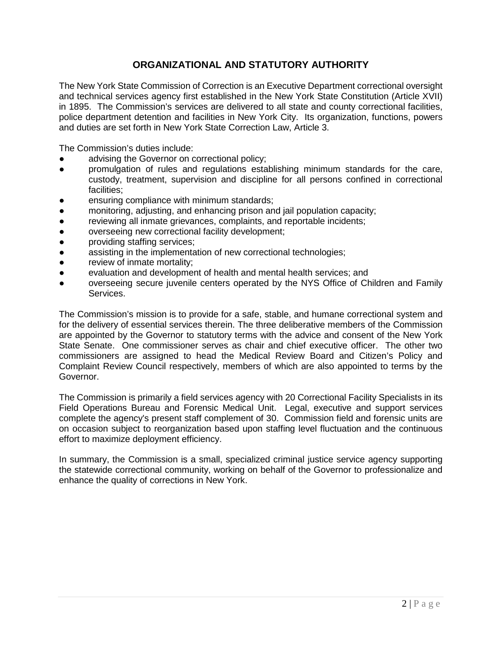# **ORGANIZATIONAL AND STATUTORY AUTHORITY**

The New York State Commission of Correction is an Executive Department correctional oversight and technical services agency first established in the New York State Constitution (Article XVII) in 1895. The Commission's services are delivered to all state and county correctional facilities, police department detention and facilities in New York City. Its organization, functions, powers and duties are set forth in New York State Correction Law, Article 3.

The Commission's duties include:

- advising the Governor on correctional policy;
- promulgation of rules and regulations establishing minimum standards for the care, custody, treatment, supervision and discipline for all persons confined in correctional facilities;
- ensuring compliance with minimum standards;
- monitoring, adjusting, and enhancing prison and jail population capacity;
- reviewing all inmate grievances, complaints, and reportable incidents;
- overseeing new correctional facility development;
- providing staffing services;
- assisting in the implementation of new correctional technologies;
- review of inmate mortality;
- evaluation and development of health and mental health services; and
- overseeing secure juvenile centers operated by the NYS Office of Children and Family Services.

The Commission's mission is to provide for a safe, stable, and humane correctional system and for the delivery of essential services therein. The three deliberative members of the Commission are appointed by the Governor to statutory terms with the advice and consent of the New York State Senate. One commissioner serves as chair and chief executive officer. The other two commissioners are assigned to head the Medical Review Board and Citizen's Policy and Complaint Review Council respectively, members of which are also appointed to terms by the Governor.

The Commission is primarily a field services agency with 20 Correctional Facility Specialists in its Field Operations Bureau and Forensic Medical Unit. Legal, executive and support services complete the agency's present staff complement of 30. Commission field and forensic units are on occasion subject to reorganization based upon staffing level fluctuation and the continuous effort to maximize deployment efficiency.

In summary, the Commission is a small, specialized criminal justice service agency supporting the statewide correctional community, working on behalf of the Governor to professionalize and enhance the quality of corrections in New York.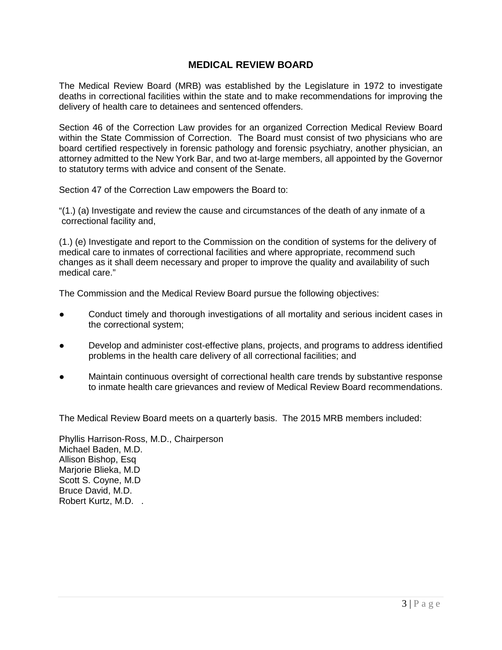# **MEDICAL REVIEW BOARD**

The Medical Review Board (MRB) was established by the Legislature in 1972 to investigate deaths in correctional facilities within the state and to make recommendations for improving the delivery of health care to detainees and sentenced offenders.

Section 46 of the Correction Law provides for an organized Correction Medical Review Board within the State Commission of Correction. The Board must consist of two physicians who are board certified respectively in forensic pathology and forensic psychiatry, another physician, an attorney admitted to the New York Bar, and two at-large members, all appointed by the Governor to statutory terms with advice and consent of the Senate.

Section 47 of the Correction Law empowers the Board to:

"(1.) (a) Investigate and review the cause and circumstances of the death of any inmate of a correctional facility and,

(1.) (e) Investigate and report to the Commission on the condition of systems for the delivery of medical care to inmates of correctional facilities and where appropriate, recommend such changes as it shall deem necessary and proper to improve the quality and availability of such medical care."

The Commission and the Medical Review Board pursue the following objectives:

- Conduct timely and thorough investigations of all mortality and serious incident cases in the correctional system;
- Develop and administer cost-effective plans, projects, and programs to address identified problems in the health care delivery of all correctional facilities; and
- Maintain continuous oversight of correctional health care trends by substantive response to inmate health care grievances and review of Medical Review Board recommendations.

The Medical Review Board meets on a quarterly basis. The 2015 MRB members included:

Phyllis Harrison-Ross, M.D., Chairperson Michael Baden, M.D. Allison Bishop, Esq Marjorie Blieka, M.D Scott S. Coyne, M.D Bruce David, M.D. Robert Kurtz, M.D. .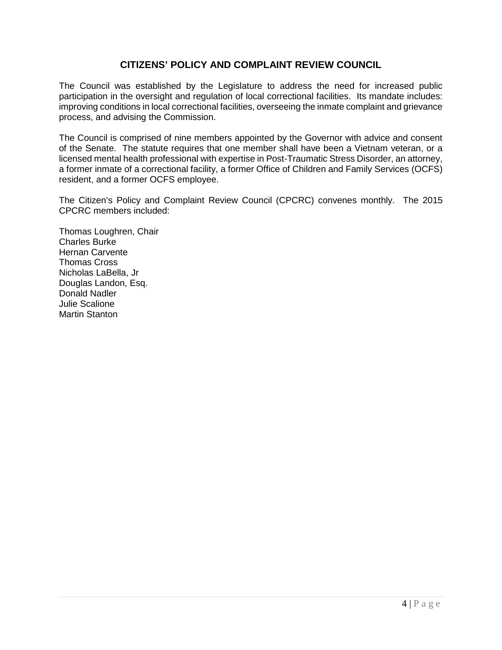# **CITIZENS' POLICY AND COMPLAINT REVIEW COUNCIL**

The Council was established by the Legislature to address the need for increased public participation in the oversight and regulation of local correctional facilities. Its mandate includes: improving conditions in local correctional facilities, overseeing the inmate complaint and grievance process, and advising the Commission.

The Council is comprised of nine members appointed by the Governor with advice and consent of the Senate. The statute requires that one member shall have been a Vietnam veteran, or a licensed mental health professional with expertise in Post-Traumatic Stress Disorder, an attorney, a former inmate of a correctional facility, a former Office of Children and Family Services (OCFS) resident, and a former OCFS employee.

The Citizen's Policy and Complaint Review Council (CPCRC) convenes monthly. The 2015 CPCRC members included:

Thomas Loughren, Chair Charles Burke Hernan Carvente Thomas Cross Nicholas LaBella, Jr Douglas Landon, Esq. Donald Nadler Julie Scalione Martin Stanton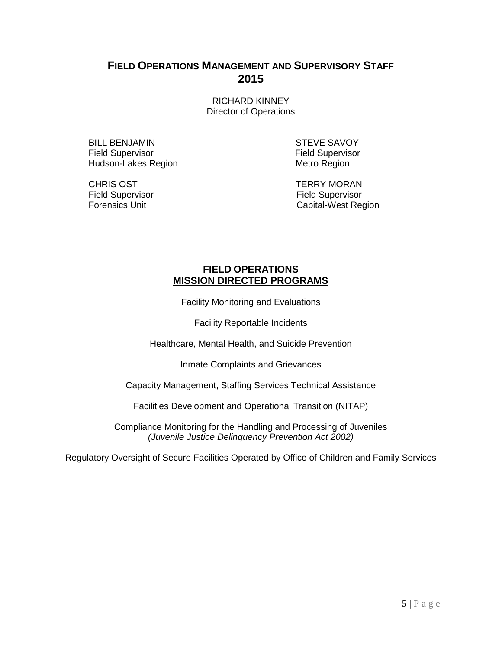# **FIELD OPERATIONS MANAGEMENT AND SUPERVISORY STAFF 2015**

RICHARD KINNEY Director of Operations

BILL BENJAMIN STEVE SAVOY Field Supervisor **Field Supervisor** Field Supervisor Hudson-Lakes Region **Metro Region** Metro Region

Field Supervisor<br>Forensics Unit

CHRIS OST<br>
Field Supervisor<br>
Field Supervisor<br>
Field Supervisor Capital-West Region

# **FIELD OPERATIONS MISSION DIRECTED PROGRAMS**

Facility Monitoring and Evaluations

Facility Reportable Incidents

Healthcare, Mental Health, and Suicide Prevention

Inmate Complaints and Grievances

Capacity Management, Staffing Services Technical Assistance

Facilities Development and Operational Transition (NITAP)

Compliance Monitoring for the Handling and Processing of Juveniles *(Juvenile Justice Delinquency Prevention Act 2002)*

Regulatory Oversight of Secure Facilities Operated by Office of Children and Family Services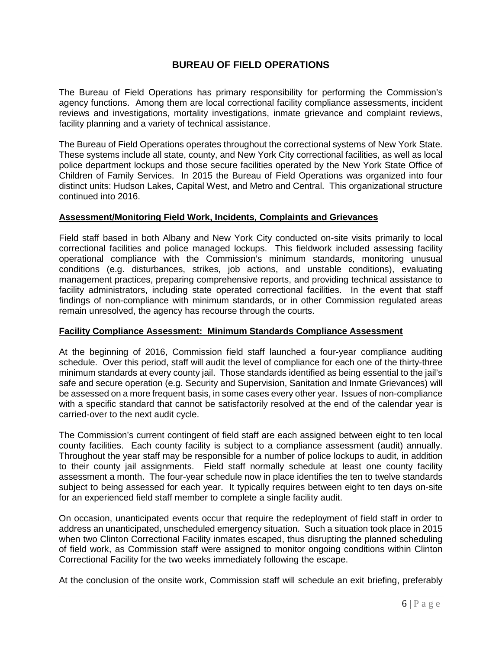# **BUREAU OF FIELD OPERATIONS**

The Bureau of Field Operations has primary responsibility for performing the Commission's agency functions. Among them are local correctional facility compliance assessments, incident reviews and investigations, mortality investigations, inmate grievance and complaint reviews, facility planning and a variety of technical assistance.

The Bureau of Field Operations operates throughout the correctional systems of New York State. These systems include all state, county, and New York City correctional facilities, as well as local police department lockups and those secure facilities operated by the New York State Office of Children of Family Services. In 2015 the Bureau of Field Operations was organized into four distinct units: Hudson Lakes, Capital West, and Metro and Central. This organizational structure continued into 2016.

### **Assessment/Monitoring Field Work, Incidents, Complaints and Grievances**

Field staff based in both Albany and New York City conducted on-site visits primarily to local correctional facilities and police managed lockups. This fieldwork included assessing facility operational compliance with the Commission's minimum standards, monitoring unusual conditions (e.g. disturbances, strikes, job actions, and unstable conditions), evaluating management practices, preparing comprehensive reports, and providing technical assistance to facility administrators, including state operated correctional facilities. In the event that staff findings of non-compliance with minimum standards, or in other Commission regulated areas remain unresolved, the agency has recourse through the courts.

# **Facility Compliance Assessment: Minimum Standards Compliance Assessment**

At the beginning of 2016, Commission field staff launched a four-year compliance auditing schedule. Over this period, staff will audit the level of compliance for each one of the thirty-three minimum standards at every county jail. Those standards identified as being essential to the jail's safe and secure operation (e.g. Security and Supervision, Sanitation and Inmate Grievances) will be assessed on a more frequent basis, in some cases every other year. Issues of non-compliance with a specific standard that cannot be satisfactorily resolved at the end of the calendar year is carried-over to the next audit cycle.

The Commission's current contingent of field staff are each assigned between eight to ten local county facilities. Each county facility is subject to a compliance assessment (audit) annually. Throughout the year staff may be responsible for a number of police lockups to audit, in addition to their county jail assignments. Field staff normally schedule at least one county facility assessment a month. The four-year schedule now in place identifies the ten to twelve standards subject to being assessed for each year. It typically requires between eight to ten days on-site for an experienced field staff member to complete a single facility audit.

On occasion, unanticipated events occur that require the redeployment of field staff in order to address an unanticipated, unscheduled emergency situation. Such a situation took place in 2015 when two Clinton Correctional Facility inmates escaped, thus disrupting the planned scheduling of field work, as Commission staff were assigned to monitor ongoing conditions within Clinton Correctional Facility for the two weeks immediately following the escape.

At the conclusion of the onsite work, Commission staff will schedule an exit briefing, preferably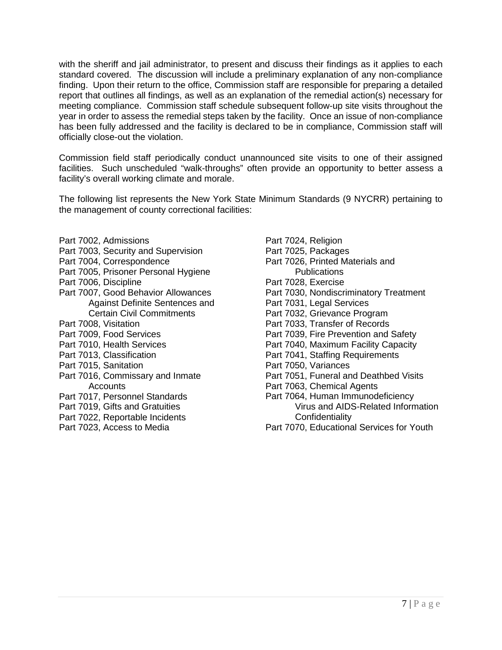with the sheriff and jail administrator, to present and discuss their findings as it applies to each standard covered. The discussion will include a preliminary explanation of any non-compliance finding. Upon their return to the office, Commission staff are responsible for preparing a detailed report that outlines all findings, as well as an explanation of the remedial action(s) necessary for meeting compliance. Commission staff schedule subsequent follow-up site visits throughout the year in order to assess the remedial steps taken by the facility. Once an issue of non-compliance has been fully addressed and the facility is declared to be in compliance, Commission staff will officially close-out the violation.

Commission field staff periodically conduct unannounced site visits to one of their assigned facilities. Such unscheduled "walk-throughs" often provide an opportunity to better assess a facility's overall working climate and morale.

The following list represents the New York State Minimum Standards (9 NYCRR) pertaining to the management of county correctional facilities:

- Part 7002, Admissions
- Part 7003, Security and Supervision
- Part 7004, Correspondence
- Part 7005, Prisoner Personal Hygiene
- Part 7006, Discipline
- Part 7007, Good Behavior Allowances Against Definite Sentences and Certain Civil Commitments
- Part 7008, Visitation
- Part 7009, Food Services
- Part 7010, Health Services
- Part 7013, Classification
- Part 7015, Sanitation
- Part 7016, Commissary and Inmate **Accounts**
- Part 7017, Personnel Standards
- Part 7019, Gifts and Gratuities
- Part 7022, Reportable Incidents
- Part 7023, Access to Media
- Part 7024, Religion Part 7025, Packages Part 7026, Printed Materials and **Publications** Part 7028, Exercise Part 7030, Nondiscriminatory Treatment Part 7031, Legal Services Part 7032, Grievance Program Part 7033, Transfer of Records Part 7039, Fire Prevention and Safety Part 7040, Maximum Facility Capacity Part 7041, Staffing Requirements Part 7050, Variances Part 7051, Funeral and Deathbed Visits Part 7063, Chemical Agents Part 7064, Human Immunodeficiency Virus and AIDS-Related Information **Confidentiality**
- Part 7070, Educational Services for Youth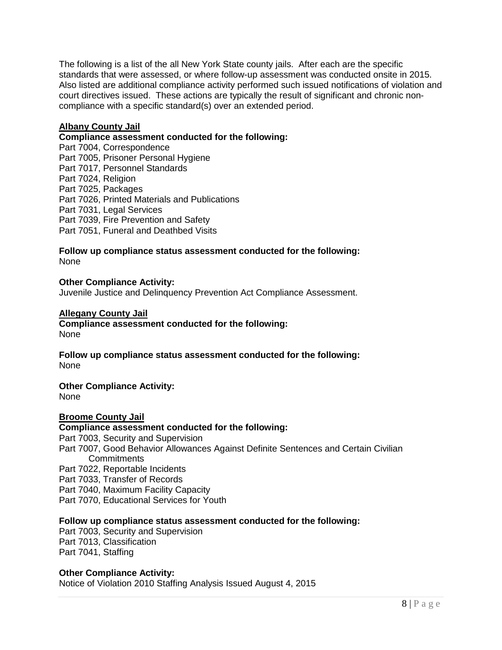The following is a list of the all New York State county jails. After each are the specific standards that were assessed, or where follow-up assessment was conducted onsite in 2015. Also listed are additional compliance activity performed such issued notifications of violation and court directives issued. These actions are typically the result of significant and chronic noncompliance with a specific standard(s) over an extended period.

#### **Albany County Jail**

#### **Compliance assessment conducted for the following:**

Part 7004, Correspondence Part 7005, Prisoner Personal Hygiene Part 7017, Personnel Standards Part 7024, Religion Part 7025, Packages Part 7026, Printed Materials and Publications Part 7031, Legal Services Part 7039, Fire Prevention and Safety Part 7051, Funeral and Deathbed Visits

#### **Follow up compliance status assessment conducted for the following:**  None

#### **Other Compliance Activity:**  Juvenile Justice and Delinquency Prevention Act Compliance Assessment.

#### **Allegany County Jail**

**Compliance assessment conducted for the following:** None

**Follow up compliance status assessment conducted for the following:**  None

# **Other Compliance Activity:**

None

#### **Broome County Jail**

# **Compliance assessment conducted for the following:**

Part 7003, Security and Supervision Part 7007, Good Behavior Allowances Against Definite Sentences and Certain Civilian **Commitments** Part 7022, Reportable Incidents Part 7033, Transfer of Records

Part 7040, Maximum Facility Capacity

Part 7070, Educational Services for Youth

#### **Follow up compliance status assessment conducted for the following:**

Part 7003, Security and Supervision Part 7013, Classification Part 7041, Staffing

#### **Other Compliance Activity:**

Notice of Violation 2010 Staffing Analysis Issued August 4, 2015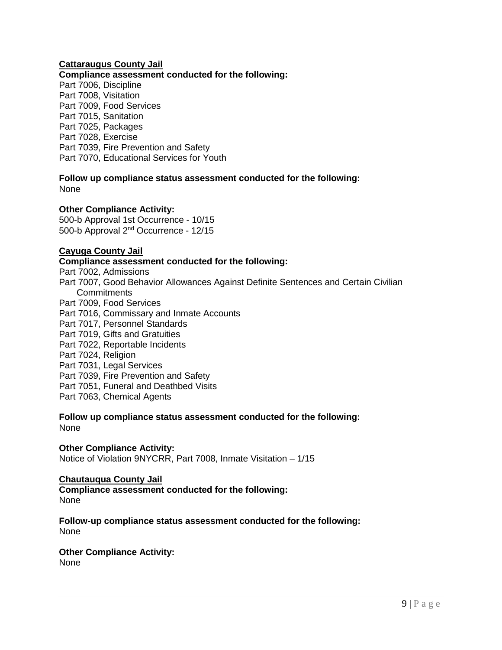# **Cattaraugus County Jail**

# **Compliance assessment conducted for the following:**

Part 7006, Discipline Part 7008, Visitation Part 7009, Food Services Part 7015, Sanitation Part 7025, Packages Part 7028, Exercise Part 7039, Fire Prevention and Safety Part 7070, Educational Services for Youth

**Follow up compliance status assessment conducted for the following:** None

### **Other Compliance Activity:**

500-b Approval 1st Occurrence - 10/15 500-b Approval 2nd Occurrence - 12/15

#### **Cayuga County Jail**

**Compliance assessment conducted for the following:** Part 7002, Admissions Part 7007, Good Behavior Allowances Against Definite Sentences and Certain Civilian **Commitments** Part 7009, Food Services Part 7016, Commissary and Inmate Accounts Part 7017, Personnel Standards Part 7019, Gifts and Gratuities Part 7022, Reportable Incidents Part 7024, Religion Part 7031, Legal Services Part 7039, Fire Prevention and Safety Part 7051, Funeral and Deathbed Visits Part 7063, Chemical Agents

### **Follow up compliance status assessment conducted for the following:** None

#### **Other Compliance Activity:**

Notice of Violation 9NYCRR, Part 7008, Inmate Visitation – 1/15

#### **Chautauqua County Jail**

**Compliance assessment conducted for the following:** None

**Follow-up compliance status assessment conducted for the following:** None

# **Other Compliance Activity:**

None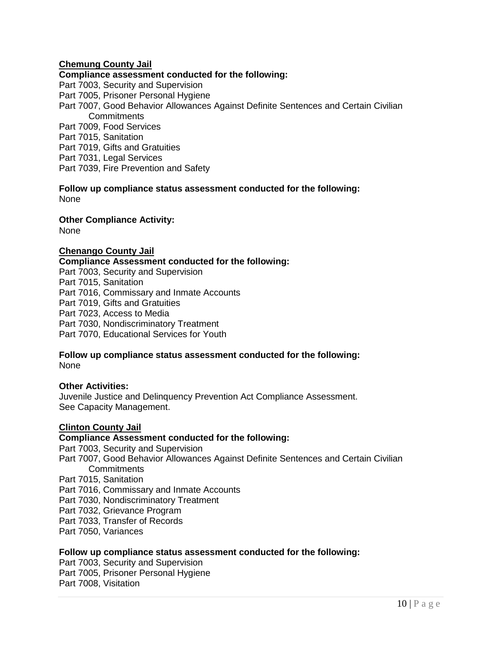# **Chemung County Jail**

# **Compliance assessment conducted for the following:**

Part 7003, Security and Supervision Part 7005, Prisoner Personal Hygiene Part 7007, Good Behavior Allowances Against Definite Sentences and Certain Civilian **Commitments** Part 7009, Food Services Part 7015, Sanitation Part 7019, Gifts and Gratuities Part 7031, Legal Services Part 7039, Fire Prevention and Safety

**Follow up compliance status assessment conducted for the following:** None

**Other Compliance Activity:**

None

### **Chenango County Jail**

**Compliance Assessment conducted for the following:** 

Part 7003, Security and Supervision Part 7015, Sanitation Part 7016, Commissary and Inmate Accounts Part 7019, Gifts and Gratuities Part 7023, Access to Media Part 7030, Nondiscriminatory Treatment Part 7070, Educational Services for Youth

#### **Follow up compliance status assessment conducted for the following:** None

# **Other Activities:**

Juvenile Justice and Delinquency Prevention Act Compliance Assessment. See Capacity Management.

#### **Clinton County Jail**

# **Compliance Assessment conducted for the following:**

Part 7003, Security and Supervision

Part 7007, Good Behavior Allowances Against Definite Sentences and Certain Civilian **Commitments** 

Part 7015, Sanitation

Part 7016, Commissary and Inmate Accounts

Part 7030, Nondiscriminatory Treatment

Part 7032, Grievance Program

Part 7033, Transfer of Records

Part 7050, Variances

#### **Follow up compliance status assessment conducted for the following:**

Part 7003, Security and Supervision Part 7005, Prisoner Personal Hygiene Part 7008, Visitation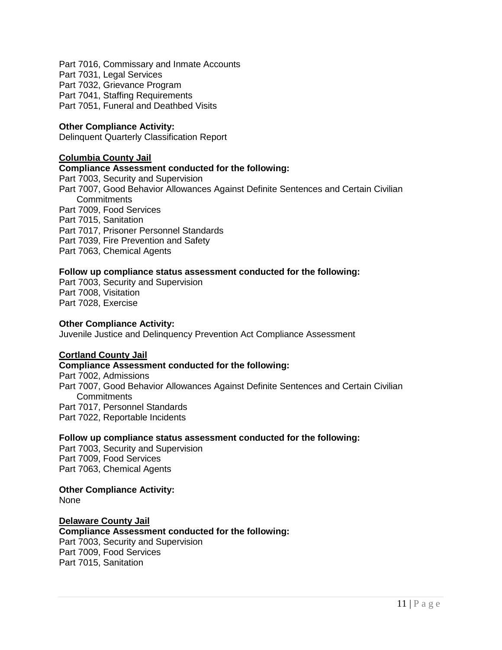Part 7016, Commissary and Inmate Accounts Part 7031, Legal Services Part 7032, Grievance Program Part 7041, Staffing Requirements Part 7051, Funeral and Deathbed Visits

### **Other Compliance Activity:**

Delinquent Quarterly Classification Report

#### **Columbia County Jail**

#### **Compliance Assessment conducted for the following:**

Part 7003, Security and Supervision Part 7007, Good Behavior Allowances Against Definite Sentences and Certain Civilian **Commitments** Part 7009, Food Services Part 7015, Sanitation Part 7017, Prisoner Personnel Standards Part 7039, Fire Prevention and Safety

Part 7063, Chemical Agents

#### **Follow up compliance status assessment conducted for the following:**

Part 7003, Security and Supervision Part 7008, Visitation Part 7028, Exercise

#### **Other Compliance Activity:**

Juvenile Justice and Delinquency Prevention Act Compliance Assessment

#### **Cortland County Jail**

# **Compliance Assessment conducted for the following:**

Part 7002, Admissions Part 7007, Good Behavior Allowances Against Definite Sentences and Certain Civilian **Commitments** Part 7017, Personnel Standards Part 7022, Reportable Incidents

#### **Follow up compliance status assessment conducted for the following:**

Part 7003, Security and Supervision Part 7009, Food Services Part 7063, Chemical Agents

#### **Other Compliance Activity:**

None

#### **Delaware County Jail**

**Compliance Assessment conducted for the following:**  Part 7003, Security and Supervision

Part 7009, Food Services Part 7015, Sanitation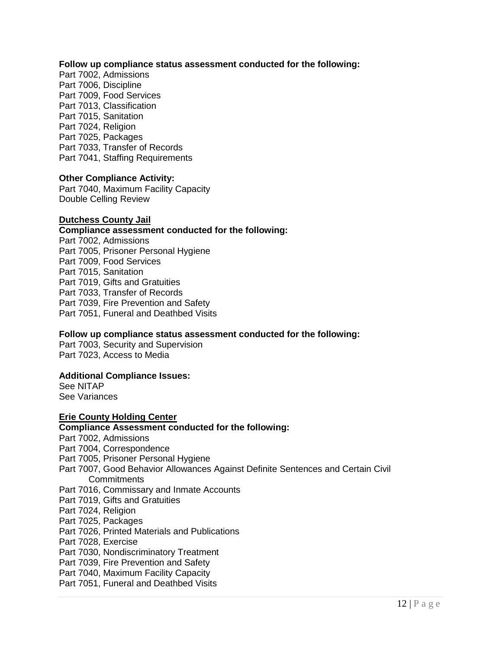#### **Follow up compliance status assessment conducted for the following:**

Part 7002, Admissions Part 7006, Discipline Part 7009, Food Services Part 7013, Classification Part 7015, Sanitation Part 7024, Religion Part 7025, Packages Part 7033, Transfer of Records Part 7041, Staffing Requirements

#### **Other Compliance Activity:**

Part 7040, Maximum Facility Capacity Double Celling Review

#### **Dutchess County Jail**

#### **Compliance assessment conducted for the following:**

Part 7002, Admissions Part 7005, Prisoner Personal Hygiene Part 7009, Food Services Part 7015, Sanitation Part 7019, Gifts and Gratuities Part 7033, Transfer of Records Part 7039, Fire Prevention and Safety Part 7051, Funeral and Deathbed Visits

#### **Follow up compliance status assessment conducted for the following:**

Part 7003, Security and Supervision Part 7023, Access to Media

#### **Additional Compliance Issues:**

See NITAP See Variances

#### **Erie County Holding Center**

### **Compliance Assessment conducted for the following:**

- Part 7002, Admissions
- Part 7004, Correspondence
- Part 7005, Prisoner Personal Hygiene
- Part 7007, Good Behavior Allowances Against Definite Sentences and Certain Civil **Commitments**
- Part 7016, Commissary and Inmate Accounts
- Part 7019, Gifts and Gratuities
- Part 7024, Religion
- Part 7025, Packages
- Part 7026, Printed Materials and Publications
- Part 7028, Exercise
- Part 7030, Nondiscriminatory Treatment
- Part 7039, Fire Prevention and Safety
- Part 7040, Maximum Facility Capacity
- Part 7051, Funeral and Deathbed Visits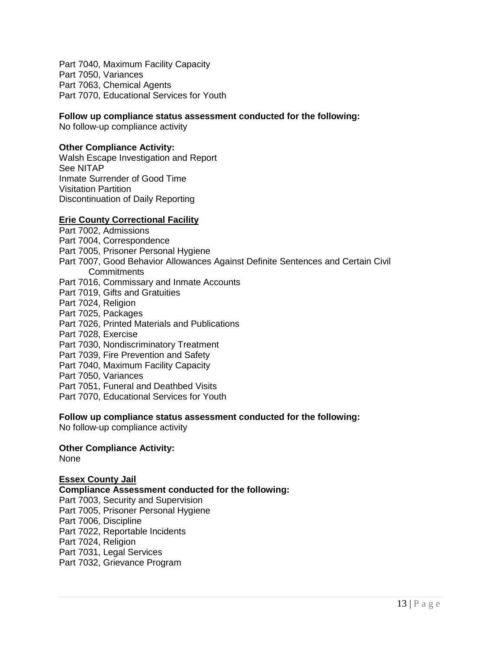Part 7040, Maximum Facility Capacity Part 7050, Variances Part 7063, Chemical Agents Part 7070, Educational Services for Youth

#### **Follow up compliance status assessment conducted for the following:**

No follow-up compliance activity

#### **Other Compliance Activity:**

Walsh Escape Investigation and Report See NITAP Inmate Surrender of Good Time Visitation Partition Discontinuation of Daily Reporting

### **Erie County Correctional Facility**

Part 7002, Admissions Part 7004, Correspondence Part 7005, Prisoner Personal Hygiene Part 7007, Good Behavior Allowances Against Definite Sentences and Certain Civil **Commitments** Part 7016, Commissary and Inmate Accounts Part 7019, Gifts and Gratuities Part 7024, Religion Part 7025, Packages Part 7026, Printed Materials and Publications Part 7028, Exercise Part 7030, Nondiscriminatory Treatment Part 7039, Fire Prevention and Safety Part 7040, Maximum Facility Capacity Part 7050, Variances Part 7051, Funeral and Deathbed Visits Part 7070, Educational Services for Youth

### **Follow up compliance status assessment conducted for the following:**

No follow-up compliance activity

#### **Other Compliance Activity:**

None

#### **Essex County Jail**

# **Compliance Assessment conducted for the following:** Part 7003, Security and Supervision Part 7005, Prisoner Personal Hygiene

Part 7006, Discipline

Part 7022, Reportable Incidents Part 7024, Religion

Part 7031, Legal Services

Part 7032, Grievance Program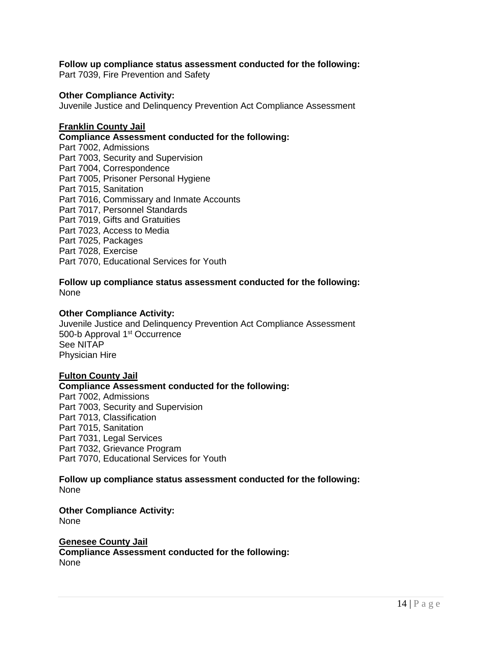#### **Follow up compliance status assessment conducted for the following:**

Part 7039, Fire Prevention and Safety

#### **Other Compliance Activity:**

Juvenile Justice and Delinquency Prevention Act Compliance Assessment

#### **Franklin County Jail**

**Compliance Assessment conducted for the following:**

Part 7002, Admissions Part 7003, Security and Supervision Part 7004, Correspondence Part 7005, Prisoner Personal Hygiene Part 7015, Sanitation Part 7016, Commissary and Inmate Accounts Part 7017, Personnel Standards Part 7019, Gifts and Gratuities Part 7023, Access to Media Part 7025, Packages Part 7028, Exercise Part 7070, Educational Services for Youth

### **Follow up compliance status assessment conducted for the following:** None

### **Other Compliance Activity:**

Juvenile Justice and Delinquency Prevention Act Compliance Assessment 500-b Approval 1<sup>st</sup> Occurrence See NITAP Physician Hire

#### **Fulton County Jail**

#### **Compliance Assessment conducted for the following:**

Part 7002, Admissions Part 7003, Security and Supervision Part 7013, Classification Part 7015, Sanitation Part 7031, Legal Services Part 7032, Grievance Program Part 7070, Educational Services for Youth

#### **Follow up compliance status assessment conducted for the following:** None

# **Other Compliance Activity:**

None

### **Genesee County Jail**

**Compliance Assessment conducted for the following:** None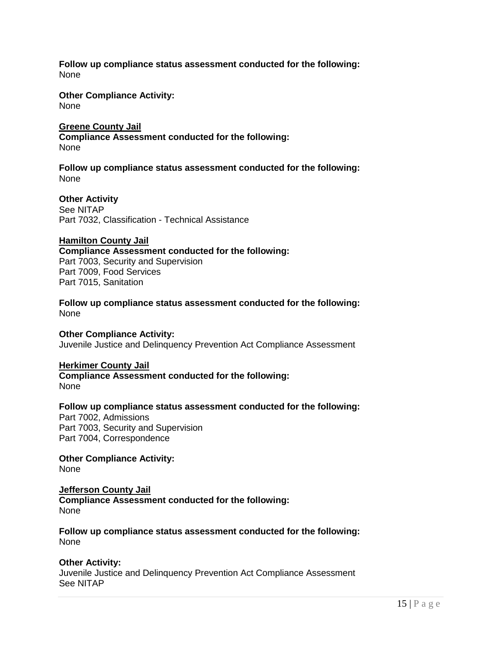**Follow up compliance status assessment conducted for the following:** None

**Other Compliance Activity:**  None

**Greene County Jail** 

**Compliance Assessment conducted for the following:** None

**Follow up compliance status assessment conducted for the following:** None

**Other Activity** See NITAP Part 7032, Classification - Technical Assistance

#### **Hamilton County Jail**

**Compliance Assessment conducted for the following:**  Part 7003, Security and Supervision Part 7009, Food Services Part 7015, Sanitation

**Follow up compliance status assessment conducted for the following:** None

**Other Compliance Activity:** 

Juvenile Justice and Delinquency Prevention Act Compliance Assessment

#### **Herkimer County Jail**

**Compliance Assessment conducted for the following:**  None

#### **Follow up compliance status assessment conducted for the following:**

Part 7002, Admissions Part 7003, Security and Supervision Part 7004, Correspondence

**Other Compliance Activity:**  None

# **Jefferson County Jail**

**Compliance Assessment conducted for the following:**  None

**Follow up compliance status assessment conducted for the following:** None

#### **Other Activity:**

Juvenile Justice and Delinquency Prevention Act Compliance Assessment See NITAP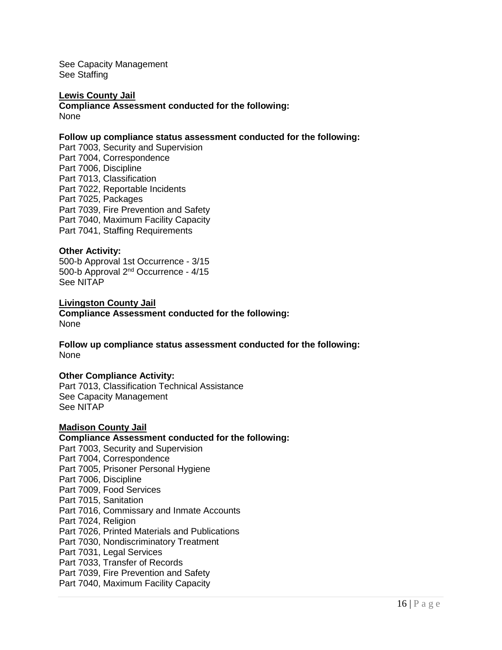See Capacity Management See Staffing

#### **Lewis County Jail Compliance Assessment conducted for the following:** None

#### **Follow up compliance status assessment conducted for the following:**

Part 7003, Security and Supervision Part 7004, Correspondence Part 7006, Discipline Part 7013, Classification Part 7022, Reportable Incidents Part 7025, Packages Part 7039, Fire Prevention and Safety Part 7040, Maximum Facility Capacity Part 7041, Staffing Requirements

#### **Other Activity:**

500-b Approval 1st Occurrence - 3/15 500-b Approval 2nd Occurrence - 4/15 See NITAP

**Livingston County Jail Compliance Assessment conducted for the following:**  None

**Follow up compliance status assessment conducted for the following:** None

#### **Other Compliance Activity:**

Part 7013, Classification Technical Assistance See Capacity Management See NITAP

#### **Madison County Jail**

#### **Compliance Assessment conducted for the following:**

Part 7003, Security and Supervision Part 7004, Correspondence Part 7005, Prisoner Personal Hygiene Part 7006, Discipline Part 7009, Food Services Part 7015, Sanitation Part 7016, Commissary and Inmate Accounts Part 7024, Religion Part 7026, Printed Materials and Publications Part 7030, Nondiscriminatory Treatment Part 7031, Legal Services Part 7033, Transfer of Records Part 7039, Fire Prevention and Safety Part 7040, Maximum Facility Capacity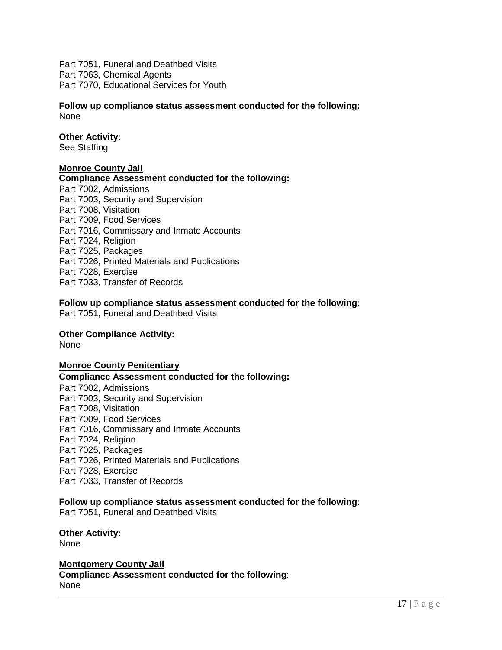Part 7051, Funeral and Deathbed Visits Part 7063, Chemical Agents Part 7070, Educational Services for Youth

**Follow up compliance status assessment conducted for the following:** None

#### **Other Activity:**

See Staffing

#### **Monroe County Jail**

#### **Compliance Assessment conducted for the following:**

Part 7002, Admissions Part 7003, Security and Supervision Part 7008, Visitation Part 7009, Food Services Part 7016, Commissary and Inmate Accounts Part 7024, Religion Part 7025, Packages Part 7026, Printed Materials and Publications Part 7028, Exercise Part 7033, Transfer of Records

**Follow up compliance status assessment conducted for the following:** Part 7051, Funeral and Deathbed Visits

#### **Other Compliance Activity:**

None

#### **Monroe County Penitentiary**

**Compliance Assessment conducted for the following:** 

Part 7002, Admissions Part 7003, Security and Supervision Part 7008, Visitation Part 7009, Food Services Part 7016, Commissary and Inmate Accounts Part 7024, Religion Part 7025, Packages Part 7026, Printed Materials and Publications Part 7028, Exercise Part 7033, Transfer of Records

#### **Follow up compliance status assessment conducted for the following:**

Part 7051, Funeral and Deathbed Visits

**Other Activity:** None

**Montgomery County Jail**

**Compliance Assessment conducted for the following**: None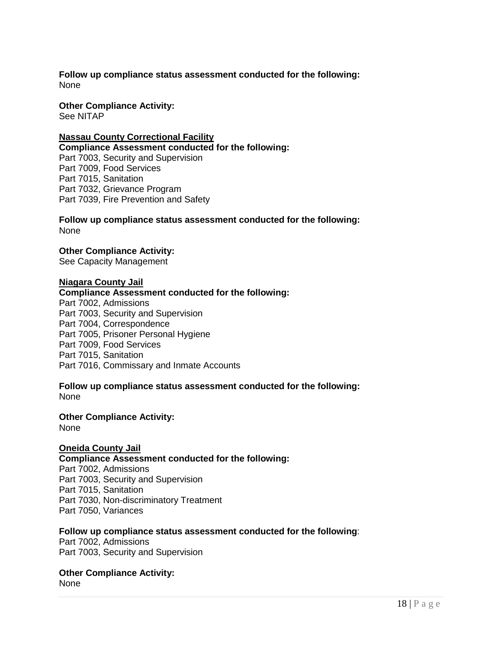**Follow up compliance status assessment conducted for the following:** None

**Other Compliance Activity:**  See NITAP

#### **Nassau County Correctional Facility**

**Compliance Assessment conducted for the following:**  Part 7003, Security and Supervision Part 7009, Food Services Part 7015, Sanitation Part 7032, Grievance Program Part 7039, Fire Prevention and Safety

**Follow up compliance status assessment conducted for the following:** None

**Other Compliance Activity:**  See Capacity Management

#### **Niagara County Jail**

#### **Compliance Assessment conducted for the following:**

Part 7002, Admissions Part 7003, Security and Supervision Part 7004, Correspondence Part 7005, Prisoner Personal Hygiene Part 7009, Food Services Part 7015, Sanitation Part 7016, Commissary and Inmate Accounts

**Follow up compliance status assessment conducted for the following:** None

**Other Compliance Activity:**  None

#### **Oneida County Jail**

**Compliance Assessment conducted for the following:** 

Part 7002, Admissions Part 7003, Security and Supervision Part 7015, Sanitation Part 7030, Non-discriminatory Treatment Part 7050, Variances

#### **Follow up compliance status assessment conducted for the following**:

Part 7002, Admissions Part 7003, Security and Supervision

**Other Compliance Activity:**  None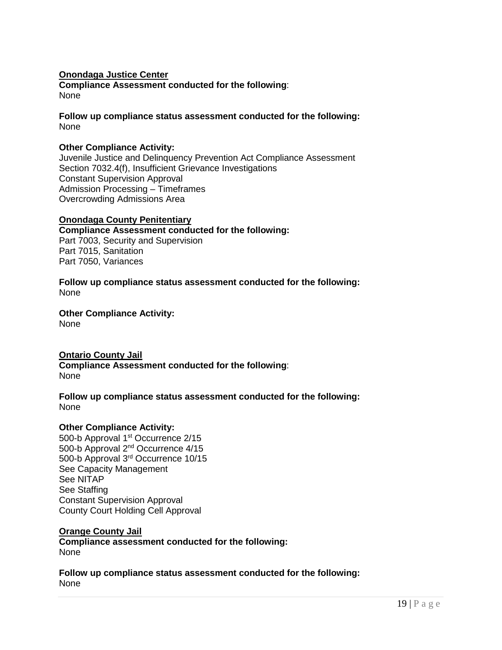### **Onondaga Justice Center Compliance Assessment conducted for the following**: None

**Follow up compliance status assessment conducted for the following:** None

### **Other Compliance Activity:**

Juvenile Justice and Delinquency Prevention Act Compliance Assessment Section 7032.4(f), Insufficient Grievance Investigations Constant Supervision Approval Admission Processing – Timeframes Overcrowding Admissions Area

#### **Onondaga County Penitentiary Compliance Assessment conducted for the following:** Part 7003, Security and Supervision Part 7015, Sanitation Part 7050, Variances

**Follow up compliance status assessment conducted for the following:** None

**Other Compliance Activity:**  None

# **Ontario County Jail**

**Compliance Assessment conducted for the following**: None

**Follow up compliance status assessment conducted for the following:** None

#### **Other Compliance Activity:**

500-b Approval 1<sup>st</sup> Occurrence 2/15 500-b Approval 2nd Occurrence 4/15 500-b Approval 3rd Occurrence 10/15 See Capacity Management See NITAP See Staffing Constant Supervision Approval County Court Holding Cell Approval

# **Orange County Jail**

**Compliance assessment conducted for the following:**  None

**Follow up compliance status assessment conducted for the following:** None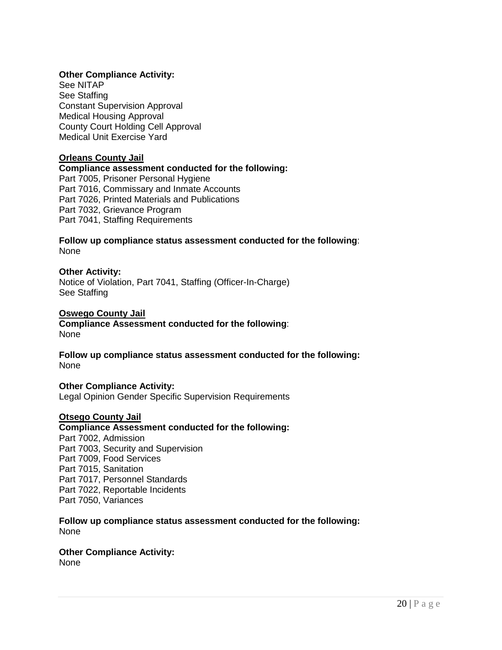# **Other Compliance Activity:**

See NITAP See Staffing Constant Supervision Approval Medical Housing Approval County Court Holding Cell Approval Medical Unit Exercise Yard

#### **Orleans County Jail**

# **Compliance assessment conducted for the following:**  Part 7005, Prisoner Personal Hygiene Part 7016, Commissary and Inmate Accounts Part 7026, Printed Materials and Publications Part 7032, Grievance Program Part 7041, Staffing Requirements

### **Follow up compliance status assessment conducted for the following**: None

#### **Other Activity:**

Notice of Violation, Part 7041, Staffing (Officer-In-Charge) See Staffing

### **Oswego County Jail**

**Compliance Assessment conducted for the following**: None

**Follow up compliance status assessment conducted for the following:** None

#### **Other Compliance Activity:**

Legal Opinion Gender Specific Supervision Requirements

#### **Otsego County Jail**

**Compliance Assessment conducted for the following:** Part 7002, Admission Part 7003, Security and Supervision Part 7009, Food Services Part 7015, Sanitation Part 7017, Personnel Standards Part 7022, Reportable Incidents Part 7050, Variances

**Follow up compliance status assessment conducted for the following:** None

### **Other Compliance Activity:**  None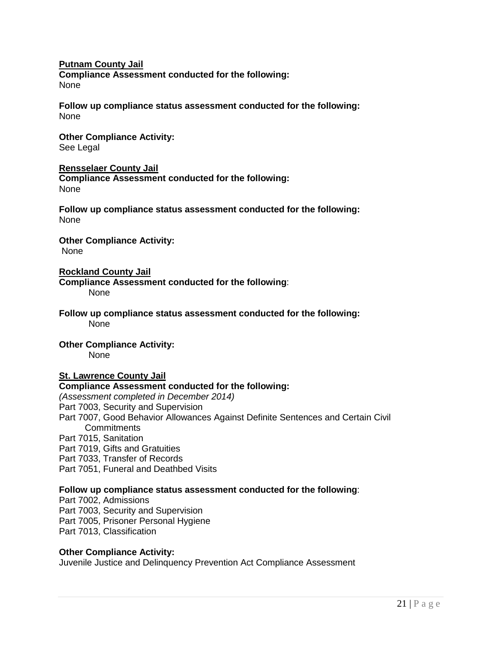### **Putnam County Jail**

**Compliance Assessment conducted for the following:** None

**Follow up compliance status assessment conducted for the following:** None

# **Other Compliance Activity:**

See Legal

#### **Rensselaer County Jail**

**Compliance Assessment conducted for the following:** None

**Follow up compliance status assessment conducted for the following:** None

**Other Compliance Activity:**  None

### **Rockland County Jail**

**Compliance Assessment conducted for the following**: None

**Follow up compliance status assessment conducted for the following:** None

# **Other Compliance Activity:**

None

# **St. Lawrence County Jail**

# **Compliance Assessment conducted for the following:**

*(Assessment completed in December 2014)* 

Part 7003, Security and Supervision

- Part 7007, Good Behavior Allowances Against Definite Sentences and Certain Civil **Commitments**
- Part 7015, Sanitation
- Part 7019, Gifts and Gratuities

Part 7033, Transfer of Records

Part 7051, Funeral and Deathbed Visits

# **Follow up compliance status assessment conducted for the following**:

Part 7002, Admissions Part 7003, Security and Supervision Part 7005, Prisoner Personal Hygiene Part 7013, Classification

#### **Other Compliance Activity:**

Juvenile Justice and Delinquency Prevention Act Compliance Assessment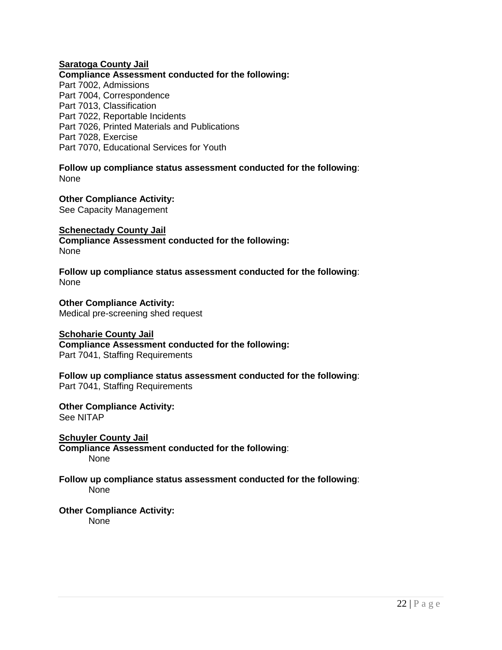### **Saratoga County Jail**

**Compliance Assessment conducted for the following:** Part 7002, Admissions

Part 7004, Correspondence Part 7013, Classification Part 7022, Reportable Incidents Part 7026, Printed Materials and Publications Part 7028, Exercise Part 7070, Educational Services for Youth

**Follow up compliance status assessment conducted for the following**: None

**Other Compliance Activity:**  See Capacity Management

**Schenectady County Jail Compliance Assessment conducted for the following:** None

**Follow up compliance status assessment conducted for the following**: None

**Other Compliance Activity:**  Medical pre-screening shed request

**Schoharie County Jail Compliance Assessment conducted for the following:** Part 7041, Staffing Requirements

**Follow up compliance status assessment conducted for the following**: Part 7041, Staffing Requirements

**Other Compliance Activity:**  See NITAP

**Schuyler County Jail Compliance Assessment conducted for the following**: None

#### **Follow up compliance status assessment conducted for the following**: None

**Other Compliance Activity:**  None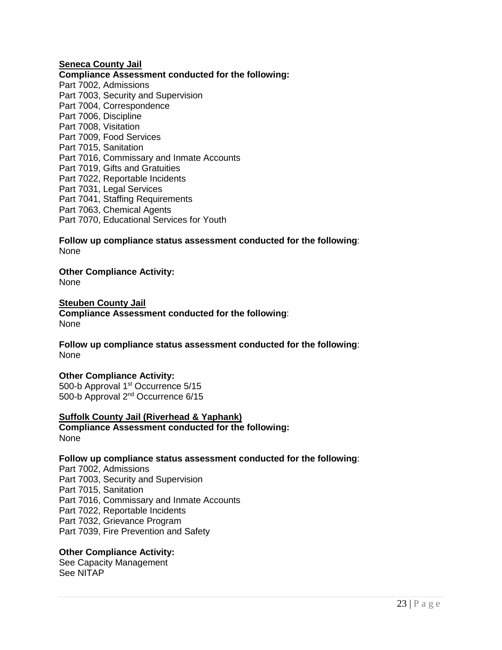#### **Seneca County Jail**

**Compliance Assessment conducted for the following:** Part 7002, Admissions Part 7003, Security and Supervision Part 7004, Correspondence Part 7006, Discipline Part 7008, Visitation Part 7009, Food Services Part 7015, Sanitation Part 7016, Commissary and Inmate Accounts Part 7019, Gifts and Gratuities Part 7022, Reportable Incidents Part 7031, Legal Services Part 7041, Staffing Requirements Part 7063, Chemical Agents Part 7070, Educational Services for Youth

**Follow up compliance status assessment conducted for the following**: None

**Other Compliance Activity:** 

None

# **Steuben County Jail**

**Compliance Assessment conducted for the following**: None

**Follow up compliance status assessment conducted for the following**: None

#### **Other Compliance Activity:**

500-b Approval 1<sup>st</sup> Occurrence 5/15 500-b Approval 2nd Occurrence 6/15

#### **Suffolk County Jail (Riverhead & Yaphank)**

**Compliance Assessment conducted for the following:** None

#### **Follow up compliance status assessment conducted for the following**:

Part 7002, Admissions Part 7003, Security and Supervision Part 7015, Sanitation Part 7016, Commissary and Inmate Accounts Part 7022, Reportable Incidents Part 7032, Grievance Program Part 7039, Fire Prevention and Safety

#### **Other Compliance Activity:**

See Capacity Management See NITAP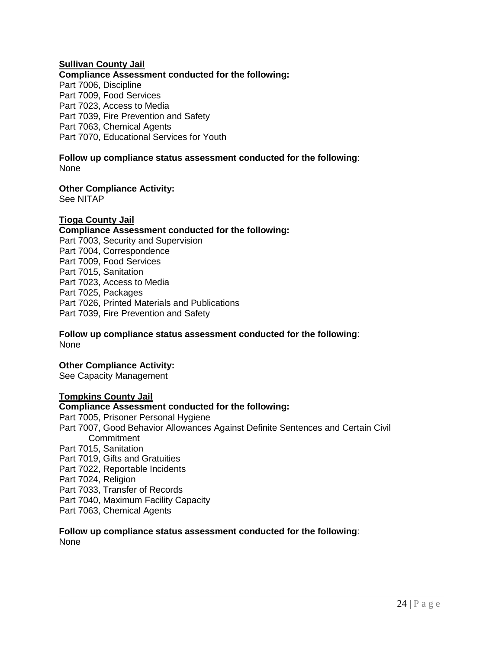# **Sullivan County Jail**

# **Compliance Assessment conducted for the following:**

Part 7006, Discipline Part 7009, Food Services Part 7023, Access to Media Part 7039, Fire Prevention and Safety Part 7063, Chemical Agents Part 7070, Educational Services for Youth

#### **Follow up compliance status assessment conducted for the following**: None

**Other Compliance Activity:** 

See NITAP

### **Tioga County Jail**

#### **Compliance Assessment conducted for the following:** Part 7003, Security and Supervision Part 7004, Correspondence Part 7009, Food Services Part 7015, Sanitation Part 7023, Access to Media Part 7025, Packages Part 7026, Printed Materials and Publications Part 7039, Fire Prevention and Safety

### **Follow up compliance status assessment conducted for the following**: None

# **Other Compliance Activity:**

See Capacity Management

#### **Tompkins County Jail**

### **Compliance Assessment conducted for the following:**

Part 7005, Prisoner Personal Hygiene Part 7007, Good Behavior Allowances Against Definite Sentences and Certain Civil **Commitment** Part 7015, Sanitation Part 7019, Gifts and Gratuities Part 7022, Reportable Incidents Part 7024, Religion Part 7033, Transfer of Records Part 7040, Maximum Facility Capacity Part 7063, Chemical Agents

#### **Follow up compliance status assessment conducted for the following**: None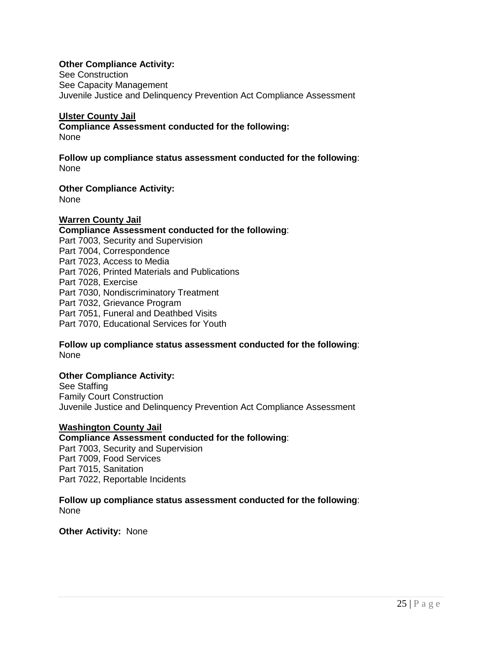# **Other Compliance Activity:**

See Construction See Capacity Management Juvenile Justice and Delinquency Prevention Act Compliance Assessment

#### **Ulster County Jail**

**Compliance Assessment conducted for the following:** None

**Follow up compliance status assessment conducted for the following**: None

**Other Compliance Activity:** 

None

### **Warren County Jail**

#### **Compliance Assessment conducted for the following**: Part 7003, Security and Supervision Part 7004, Correspondence Part 7023, Access to Media Part 7026, Printed Materials and Publications Part 7028, Exercise Part 7030, Nondiscriminatory Treatment Part 7032, Grievance Program Part 7051, Funeral and Deathbed Visits Part 7070, Educational Services for Youth

### **Follow up compliance status assessment conducted for the following**: None

#### **Other Compliance Activity:**

See Staffing Family Court Construction Juvenile Justice and Delinquency Prevention Act Compliance Assessment

#### **Washington County Jail**

#### **Compliance Assessment conducted for the following**:

Part 7003, Security and Supervision Part 7009, Food Services Part 7015, Sanitation Part 7022, Reportable Incidents

**Follow up compliance status assessment conducted for the following**: None

**Other Activity:** None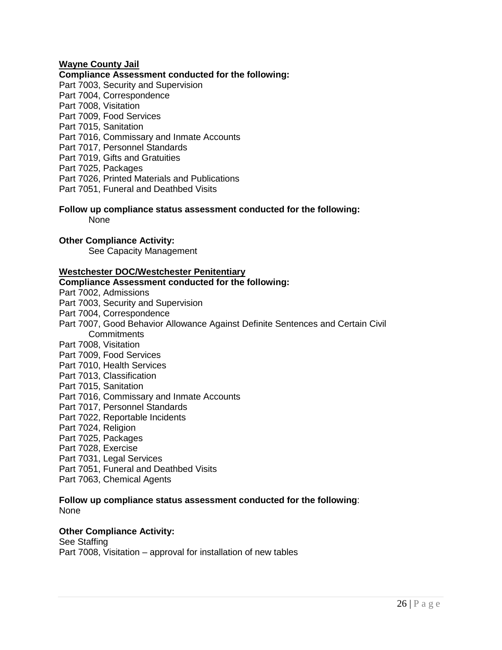# **Wayne County Jail**

#### **Compliance Assessment conducted for the following:**

- Part 7003, Security and Supervision
- Part 7004, Correspondence
- Part 7008, Visitation
- Part 7009, Food Services
- Part 7015, Sanitation
- Part 7016, Commissary and Inmate Accounts
- Part 7017, Personnel Standards
- Part 7019, Gifts and Gratuities
- Part 7025, Packages
- Part 7026, Printed Materials and Publications
- Part 7051, Funeral and Deathbed Visits

#### **Follow up compliance status assessment conducted for the following:** None

### **Other Compliance Activity:**

See Capacity Management

### **Westchester DOC/Westchester Penitentiary**

#### **Compliance Assessment conducted for the following:**

- Part 7002, Admissions
- Part 7003, Security and Supervision
- Part 7004, Correspondence
- Part 7007, Good Behavior Allowance Against Definite Sentences and Certain Civil **Commitments**
- Part 7008, Visitation
- Part 7009, Food Services
- Part 7010, Health Services
- Part 7013, Classification
- Part 7015, Sanitation
- Part 7016, Commissary and Inmate Accounts
- Part 7017, Personnel Standards
- Part 7022, Reportable Incidents
- Part 7024, Religion
- Part 7025, Packages
- Part 7028, Exercise
- Part 7031, Legal Services
- Part 7051, Funeral and Deathbed Visits
- Part 7063, Chemical Agents

#### **Follow up compliance status assessment conducted for the following**: None

#### **Other Compliance Activity:**

See Staffing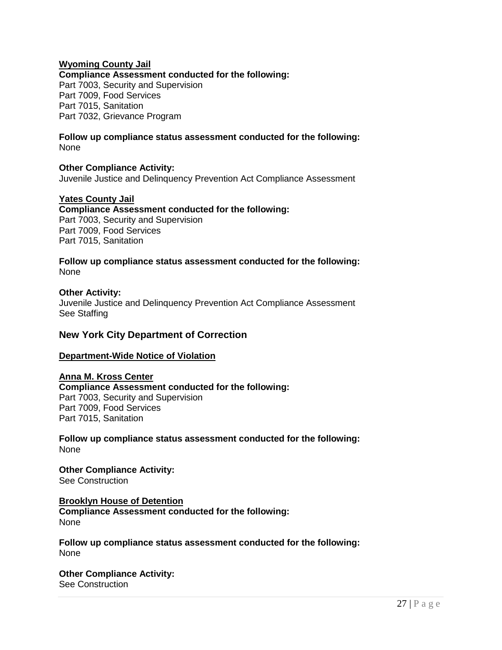# **Wyoming County Jail**

**Compliance Assessment conducted for the following:**

Part 7003, Security and Supervision Part 7009, Food Services Part 7015, Sanitation Part 7032, Grievance Program

#### **Follow up compliance status assessment conducted for the following:** None

#### **Other Compliance Activity:**

Juvenile Justice and Delinquency Prevention Act Compliance Assessment

### **Yates County Jail**

**Compliance Assessment conducted for the following:**  Part 7003, Security and Supervision Part 7009, Food Services Part 7015, Sanitation

**Follow up compliance status assessment conducted for the following:** None

#### **Other Activity:**

Juvenile Justice and Delinquency Prevention Act Compliance Assessment See Staffing

### **New York City Department of Correction**

#### **Department-Wide Notice of Violation**

#### **Anna M. Kross Center Compliance Assessment conducted for the following:**  Part 7003, Security and Supervision Part 7009, Food Services Part 7015, Sanitation

**Follow up compliance status assessment conducted for the following:** None

**Other Compliance Activity:**  See Construction

**Brooklyn House of Detention Compliance Assessment conducted for the following:**  None

**Follow up compliance status assessment conducted for the following:** None

**Other Compliance Activity:**  See Construction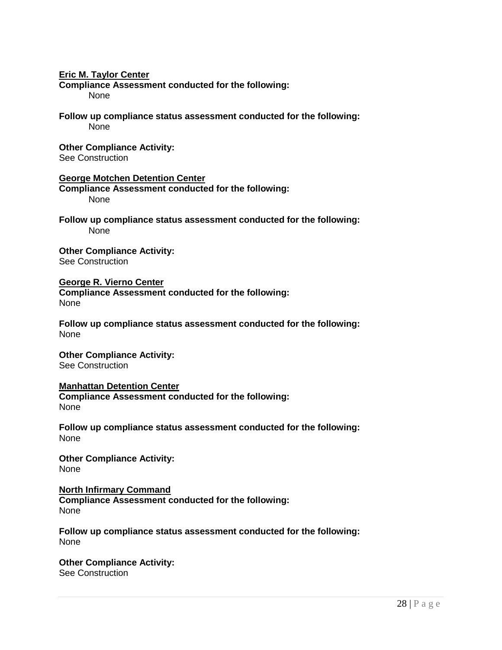#### **Eric M. Taylor Center**

**Compliance Assessment conducted for the following:**  None

**Follow up compliance status assessment conducted for the following:** None

**Other Compliance Activity:**  See Construction

**George Motchen Detention Center Compliance Assessment conducted for the following:**  None

**Follow up compliance status assessment conducted for the following:** None

**Other Compliance Activity:**  See Construction

**George R. Vierno Center Compliance Assessment conducted for the following:**  None

**Follow up compliance status assessment conducted for the following:** None

**Other Compliance Activity:**  See Construction

**Manhattan Detention Center Compliance Assessment conducted for the following:**  None

**Follow up compliance status assessment conducted for the following:** None

**Other Compliance Activity:**  None

**North Infirmary Command Compliance Assessment conducted for the following:**  None

**Follow up compliance status assessment conducted for the following:** None

**Other Compliance Activity:**  See Construction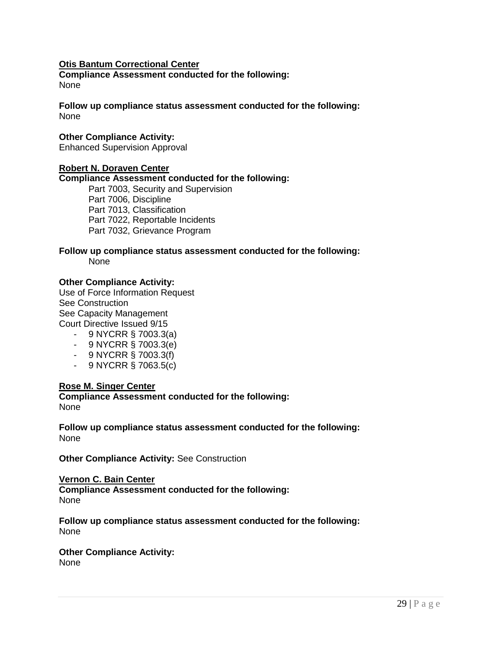# **Otis Bantum Correctional Center**

**Compliance Assessment conducted for the following:**  None

**Follow up compliance status assessment conducted for the following:** None

### **Other Compliance Activity:**

Enhanced Supervision Approval

#### **Robert N. Doraven Center**

#### **Compliance Assessment conducted for the following:**

Part 7003, Security and Supervision Part 7006, Discipline Part 7013, Classification Part 7022, Reportable Incidents Part 7032, Grievance Program

#### **Follow up compliance status assessment conducted for the following:** None

#### **Other Compliance Activity:**

Use of Force Information Request See Construction See Capacity Management Court Directive Issued 9/15

- 9 NYCRR § 7003.3(a)
- 9 NYCRR § 7003.3(e)
- 9 NYCRR § 7003.3(f)
- 9 NYCRR § 7063.5(c)

#### **Rose M. Singer Center**

**Compliance Assessment conducted for the following:** None

**Follow up compliance status assessment conducted for the following:** None

**Other Compliance Activity: See Construction** 

### **Vernon C. Bain Center Compliance Assessment conducted for the following:** None

**Follow up compliance status assessment conducted for the following:** None

#### **Other Compliance Activity:**  None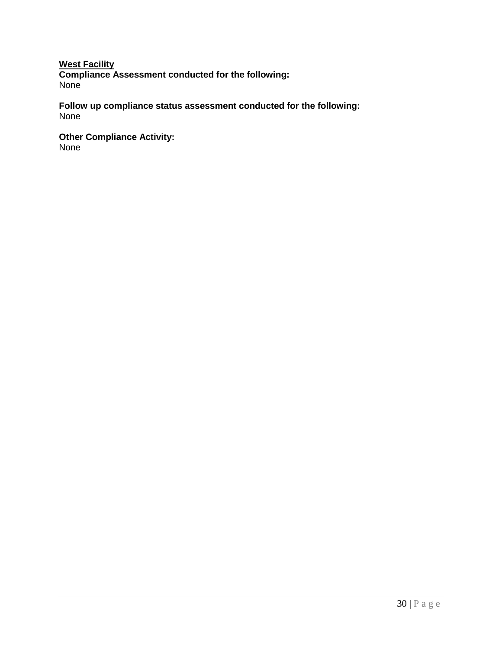# **West Facility**

**Compliance Assessment conducted for the following:**  None

**Follow up compliance status assessment conducted for the following:** None

**Other Compliance Activity:** 

None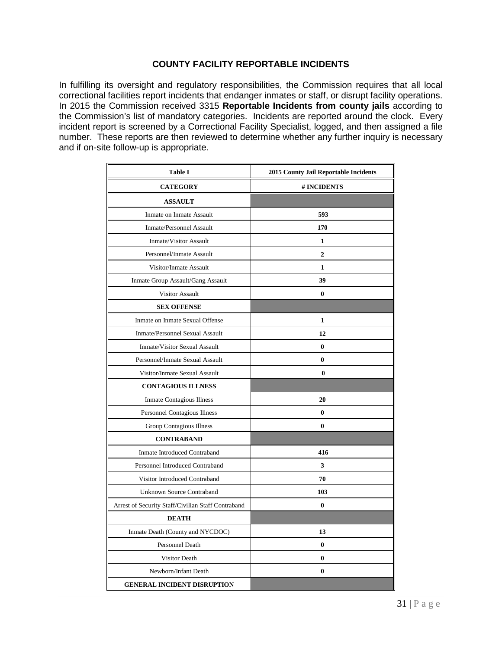# **COUNTY FACILITY REPORTABLE INCIDENTS**

In fulfilling its oversight and regulatory responsibilities, the Commission requires that all local correctional facilities report incidents that endanger inmates or staff, or disrupt facility operations. In 2015 the Commission received 3315 **Reportable Incidents from county jails** according to the Commission's list of mandatory categories. Incidents are reported around the clock. Every incident report is screened by a Correctional Facility Specialist, logged, and then assigned a file number. These reports are then reviewed to determine whether any further inquiry is necessary and if on-site follow-up is appropriate.

| <b>Table I</b>                                     | 2015 County Jail Reportable Incidents |  |  |  |
|----------------------------------------------------|---------------------------------------|--|--|--|
| <b>CATEGORY</b>                                    | # INCIDENTS                           |  |  |  |
| <b>ASSAULT</b>                                     |                                       |  |  |  |
| Inmate on Inmate Assault                           | 593                                   |  |  |  |
| <b>Inmate/Personnel Assault</b>                    | 170                                   |  |  |  |
| Inmate/Visitor Assault                             | 1                                     |  |  |  |
| Personnel/Inmate Assault                           | $\overline{2}$                        |  |  |  |
| Visitor/Inmate Assault                             | $\mathbf{1}$                          |  |  |  |
| Inmate Group Assault/Gang Assault                  | 39                                    |  |  |  |
| <b>Visitor Assault</b>                             | 0                                     |  |  |  |
| <b>SEX OFFENSE</b>                                 |                                       |  |  |  |
| Inmate on Inmate Sexual Offense                    | 1                                     |  |  |  |
| <b>Inmate/Personnel Sexual Assault</b>             | 12                                    |  |  |  |
| Inmate/Visitor Sexual Assault                      | $\bf{0}$                              |  |  |  |
| Personnel/Inmate Sexual Assault                    | $\bf{0}$                              |  |  |  |
| Visitor/Inmate Sexual Assault                      | $\bf{0}$                              |  |  |  |
| <b>CONTAGIOUS ILLNESS</b>                          |                                       |  |  |  |
| Inmate Contagious Illness                          | 20                                    |  |  |  |
| Personnel Contagious Illness                       | $\bf{0}$                              |  |  |  |
| Group Contagious Illness                           | $\bf{0}$                              |  |  |  |
| <b>CONTRABAND</b>                                  |                                       |  |  |  |
| <b>Inmate Introduced Contraband</b>                | 416                                   |  |  |  |
| Personnel Introduced Contraband                    | 3                                     |  |  |  |
| Visitor Introduced Contraband                      | 70                                    |  |  |  |
| <b>Unknown Source Contraband</b>                   | 103                                   |  |  |  |
| Arrest of Security Staff/Civilian Staff Contraband | $\bf{0}$                              |  |  |  |
| <b>DEATH</b>                                       |                                       |  |  |  |
| Inmate Death (County and NYCDOC)                   | 13                                    |  |  |  |
| <b>Personnel Death</b>                             | $\bf{0}$                              |  |  |  |
| <b>Visitor Death</b>                               | $\bf{0}$                              |  |  |  |
| Newborn/Infant Death                               | $\bf{0}$                              |  |  |  |
| <b>GENERAL INCIDENT DISRUPTION</b>                 |                                       |  |  |  |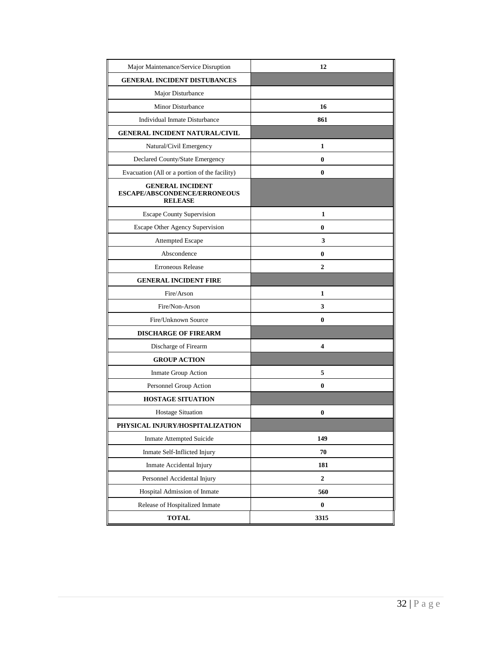| Major Maintenance/Service Disruption                                      | 12          |
|---------------------------------------------------------------------------|-------------|
| <b>GENERAL INCIDENT DISTUBANCES</b>                                       |             |
| Major Disturbance                                                         |             |
| <b>Minor Disturbance</b>                                                  | 16          |
| Individual Inmate Disturbance                                             | 861         |
| <b>GENERAL INCIDENT NATURAL/CIVIL</b>                                     |             |
| Natural/Civil Emergency                                                   | 1           |
| Declared County/State Emergency                                           | 0           |
| Evacuation (All or a portion of the facility)                             | 0           |
| <b>GENERAL INCIDENT</b><br>ESCAPE/ABSCONDENCE/ERRONEOUS<br><b>RELEASE</b> |             |
| <b>Escape County Supervision</b>                                          | 1           |
| Escape Other Agency Supervision                                           | 0           |
| Attempted Escape                                                          | 3           |
| Abscondence                                                               | 0           |
| <b>Erroneous Release</b>                                                  | 2           |
| <b>GENERAL INCIDENT FIRE</b>                                              |             |
| Fire/Arson                                                                | 1           |
| Fire/Non-Arson                                                            | 3           |
| Fire/Unknown Source                                                       | 0           |
| <b>DISCHARGE OF FIREARM</b>                                               |             |
| Discharge of Firearm                                                      | 4           |
| <b>GROUP ACTION</b>                                                       |             |
| Inmate Group Action                                                       | 5           |
| Personnel Group Action                                                    | 0           |
| <b>HOSTAGE SITUATION</b>                                                  |             |
| <b>Hostage Situation</b>                                                  | 0           |
| PHYSICAL INJURY/HOSPITALIZATION                                           |             |
| <b>Inmate Attempted Suicide</b>                                           | 149         |
| Inmate Self-Inflicted Injury                                              | 70          |
| Inmate Accidental Injury                                                  | 181         |
| Personnel Accidental Injury                                               | $\mathbf 2$ |
| Hospital Admission of Inmate                                              | 560         |
| Release of Hospitalized Inmate                                            | $\pmb{0}$   |
| <b>TOTAL</b>                                                              | 3315        |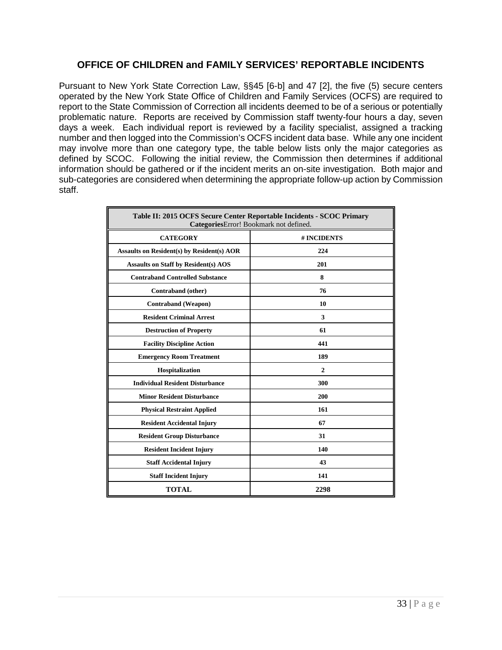# **OFFICE OF CHILDREN and FAMILY SERVICES' REPORTABLE INCIDENTS**

Pursuant to New York State Correction Law, §§45 [6-b] and 47 [2], the five (5) secure centers operated by the New York State Office of Children and Family Services (OCFS) are required to report to the State Commission of Correction all incidents deemed to be of a serious or potentially problematic nature. Reports are received by Commission staff twenty-four hours a day, seven days a week. Each individual report is reviewed by a facility specialist, assigned a tracking number and then logged into the Commission's OCFS incident data base. While any one incident may involve more than one category type, the table below lists only the major categories as defined by SCOC. Following the initial review, the Commission then determines if additional information should be gathered or if the incident merits an on-site investigation. Both major and sub-categories are considered when determining the appropriate follow-up action by Commission staff.

| Table II: 2015 OCFS Secure Center Reportable Incidents - SCOC Primary<br>CategoriesError! Bookmark not defined. |                |  |  |  |
|-----------------------------------------------------------------------------------------------------------------|----------------|--|--|--|
| <b>CATEGORY</b>                                                                                                 | # INCIDENTS    |  |  |  |
| <b>Assaults on Resident(s) by Resident(s) AOR</b>                                                               | 224            |  |  |  |
| <b>Assaults on Staff by Resident(s) AOS</b>                                                                     | 201            |  |  |  |
| <b>Contraband Controlled Substance</b>                                                                          | 8              |  |  |  |
| Contraband (other)                                                                                              | 76             |  |  |  |
| <b>Contraband</b> (Weapon)                                                                                      | 10             |  |  |  |
| <b>Resident Criminal Arrest</b>                                                                                 | 3              |  |  |  |
| <b>Destruction of Property</b>                                                                                  | 61             |  |  |  |
| <b>Facility Discipline Action</b>                                                                               | 441            |  |  |  |
| <b>Emergency Room Treatment</b>                                                                                 | 189            |  |  |  |
| Hospitalization                                                                                                 | $\overline{2}$ |  |  |  |
| <b>Individual Resident Disturbance</b>                                                                          | 300            |  |  |  |
| <b>Minor Resident Disturbance</b>                                                                               | 200            |  |  |  |
| <b>Physical Restraint Applied</b>                                                                               | 161            |  |  |  |
| <b>Resident Accidental Injury</b>                                                                               | 67             |  |  |  |
| <b>Resident Group Disturbance</b>                                                                               | 31             |  |  |  |
| <b>Resident Incident Injury</b>                                                                                 | 140            |  |  |  |
| <b>Staff Accidental Injury</b>                                                                                  | 43             |  |  |  |
| <b>Staff Incident Injury</b>                                                                                    | 141            |  |  |  |
| <b>TOTAL</b>                                                                                                    | 2298           |  |  |  |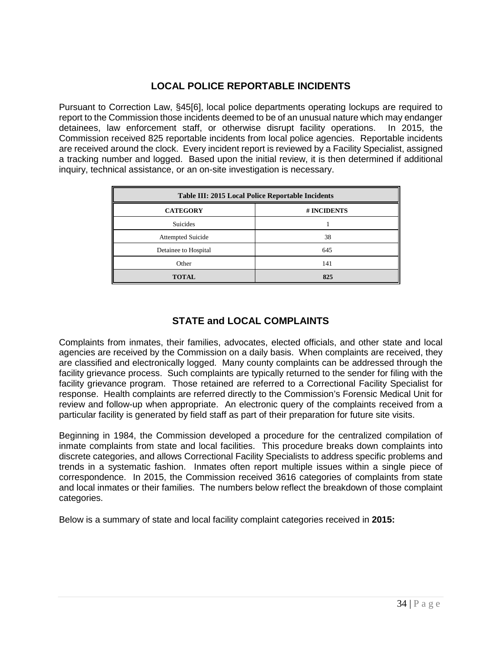# **LOCAL POLICE REPORTABLE INCIDENTS**

Pursuant to Correction Law, §45[6], local police departments operating lockups are required to report to the Commission those incidents deemed to be of an unusual nature which may endanger detainees, law enforcement staff, or otherwise disrupt facility operations. In 2015, the Commission received 825 reportable incidents from local police agencies. Reportable incidents are received around the clock. Every incident report is reviewed by a Facility Specialist, assigned a tracking number and logged. Based upon the initial review, it is then determined if additional inquiry, technical assistance, or an on-site investigation is necessary.

| <b>Table III: 2015 Local Police Reportable Incidents</b> |     |  |  |  |
|----------------------------------------------------------|-----|--|--|--|
| <b>CATEGORY</b><br># INCIDENTS                           |     |  |  |  |
| <b>Suicides</b>                                          |     |  |  |  |
| <b>Attempted Suicide</b>                                 | 38  |  |  |  |
| Detainee to Hospital                                     | 645 |  |  |  |
| Other                                                    | 141 |  |  |  |
| <b>TOTAL</b>                                             | 825 |  |  |  |

# **STATE and LOCAL COMPLAINTS**

Complaints from inmates, their families, advocates, elected officials, and other state and local agencies are received by the Commission on a daily basis. When complaints are received, they are classified and electronically logged. Many county complaints can be addressed through the facility grievance process. Such complaints are typically returned to the sender for filing with the facility grievance program. Those retained are referred to a Correctional Facility Specialist for response. Health complaints are referred directly to the Commission's Forensic Medical Unit for review and follow-up when appropriate. An electronic query of the complaints received from a particular facility is generated by field staff as part of their preparation for future site visits.

Beginning in 1984, the Commission developed a procedure for the centralized compilation of inmate complaints from state and local facilities. This procedure breaks down complaints into discrete categories, and allows Correctional Facility Specialists to address specific problems and trends in a systematic fashion. Inmates often report multiple issues within a single piece of correspondence. In 2015, the Commission received 3616 categories of complaints from state and local inmates or their families. The numbers below reflect the breakdown of those complaint categories.

Below is a summary of state and local facility complaint categories received in **2015:**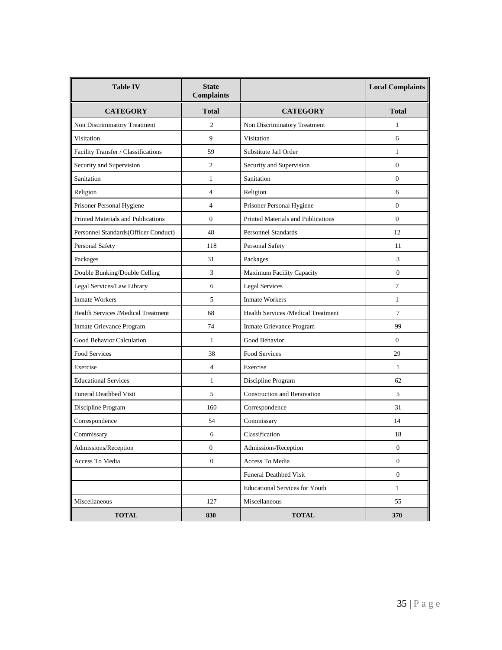| <b>Table IV</b>                           | <b>State</b><br><b>Complaints</b> |                                       | <b>Local Complaints</b> |  |
|-------------------------------------------|-----------------------------------|---------------------------------------|-------------------------|--|
| <b>CATEGORY</b>                           | <b>Total</b>                      | <b>CATEGORY</b>                       | <b>Total</b>            |  |
| Non Discriminatory Treatment              | 2                                 | Non Discriminatory Treatment          | 1                       |  |
| Visitation                                | 9                                 | Visitation<br>6                       |                         |  |
| Facility Transfer / Classifications       | 59                                | Substitute Jail Order                 | 1                       |  |
| Security and Supervision                  | $\mathfrak{2}$                    | Security and Supervision              | $\overline{0}$          |  |
| Sanitation                                | 1                                 | Sanitation                            | $\overline{0}$          |  |
| Religion                                  | $\overline{4}$                    | Religion                              | 6                       |  |
| Prisoner Personal Hygiene                 | $\overline{4}$                    | Prisoner Personal Hygiene             | $\overline{0}$          |  |
| <b>Printed Materials and Publications</b> | $\Omega$                          | Printed Materials and Publications    | $\Omega$                |  |
| Personnel Standards(Officer Conduct)      | 48                                | <b>Personnel Standards</b>            | 12                      |  |
| Personal Safety                           | 118                               | Personal Safety                       | 11                      |  |
| Packages                                  | 31                                | Packages                              | 3                       |  |
| Double Bunking/Double Celling             | 3                                 | Maximum Facility Capacity             | $\mathbf{0}$            |  |
| Legal Services/Law Library                | 6                                 | <b>Legal Services</b>                 | $\tau$                  |  |
| <b>Inmate Workers</b>                     | 5                                 | <b>Inmate Workers</b>                 | $\mathbf{1}$            |  |
| Health Services /Medical Treatment        | 68                                | Health Services /Medical Treatment    | 7                       |  |
| Inmate Grievance Program                  | 74                                | Inmate Grievance Program              | 99                      |  |
| Good Behavior Calculation                 | 1                                 | Good Behavior<br>$\mathbf{0}$         |                         |  |
| <b>Food Services</b>                      | 38                                | Food Services<br>29                   |                         |  |
| Exercise                                  | $\overline{4}$                    | Exercise                              | 1                       |  |
| <b>Educational Services</b>               | 1                                 | Discipline Program                    | 62                      |  |
| <b>Funeral Deathbed Visit</b>             | 5                                 | <b>Construction and Renovation</b>    | 5                       |  |
| Discipline Program                        | 160                               | Correspondence                        | 31                      |  |
| Correspondence                            | 54                                | Commissary                            | 14                      |  |
| Commissary                                | 6                                 | Classification                        | 18                      |  |
| Admissions/Reception                      | $\boldsymbol{0}$                  | Admissions/Reception                  | $\boldsymbol{0}$        |  |
| Access To Media                           | $\mathbf{0}$                      | Access To Media                       | $\mathbf{0}$            |  |
|                                           |                                   | <b>Funeral Deathbed Visit</b>         | $\mathbf{0}$            |  |
|                                           |                                   | <b>Educational Services for Youth</b> | $\mathbf{1}$            |  |
| Miscellaneous                             | 127                               | Miscellaneous                         | 55                      |  |
| <b>TOTAL</b>                              | 830                               | <b>TOTAL</b>                          | 370                     |  |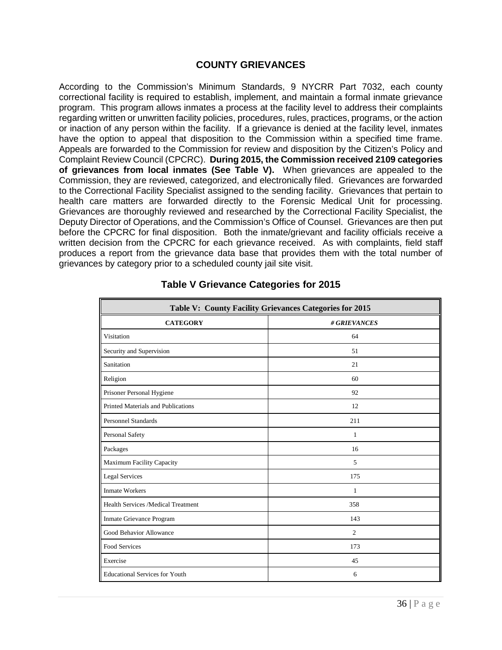# **COUNTY GRIEVANCES**

According to the Commission's Minimum Standards, 9 NYCRR Part 7032, each county correctional facility is required to establish, implement, and maintain a formal inmate grievance program. This program allows inmates a process at the facility level to address their complaints regarding written or unwritten facility policies, procedures, rules, practices, programs, or the action or inaction of any person within the facility. If a grievance is denied at the facility level, inmates have the option to appeal that disposition to the Commission within a specified time frame. Appeals are forwarded to the Commission for review and disposition by the Citizen's Policy and Complaint Review Council (CPCRC). **During 2015, the Commission received 2109 categories of grievances from local inmates (See Table V).** When grievances are appealed to the Commission, they are reviewed, categorized, and electronically filed. Grievances are forwarded to the Correctional Facility Specialist assigned to the sending facility. Grievances that pertain to health care matters are forwarded directly to the Forensic Medical Unit for processing. Grievances are thoroughly reviewed and researched by the Correctional Facility Specialist, the Deputy Director of Operations, and the Commission's Office of Counsel. Grievances are then put before the CPCRC for final disposition. Both the inmate/grievant and facility officials receive a written decision from the CPCRC for each grievance received. As with complaints, field staff produces a report from the grievance data base that provides them with the total number of grievances by category prior to a scheduled county jail site visit.

| Table V: County Facility Grievances Categories for 2015 |              |  |  |  |  |
|---------------------------------------------------------|--------------|--|--|--|--|
| <b>CATEGORY</b>                                         | # GRIEVANCES |  |  |  |  |
| Visitation                                              | 64           |  |  |  |  |
| Security and Supervision                                | 51           |  |  |  |  |
| Sanitation                                              | 21           |  |  |  |  |
| Religion                                                | 60           |  |  |  |  |
| Prisoner Personal Hygiene                               | 92           |  |  |  |  |
| Printed Materials and Publications                      | 12           |  |  |  |  |
| <b>Personnel Standards</b>                              | 211          |  |  |  |  |
| Personal Safety                                         | 1            |  |  |  |  |
| Packages                                                | 16           |  |  |  |  |
| Maximum Facility Capacity                               | 5            |  |  |  |  |
| <b>Legal Services</b>                                   | 175          |  |  |  |  |
| <b>Inmate Workers</b>                                   | 1            |  |  |  |  |
| Health Services /Medical Treatment                      | 358          |  |  |  |  |
| Inmate Grievance Program                                | 143          |  |  |  |  |
| Good Behavior Allowance                                 | 2            |  |  |  |  |
| <b>Food Services</b>                                    | 173          |  |  |  |  |
| Exercise                                                | 45           |  |  |  |  |
| <b>Educational Services for Youth</b>                   | 6            |  |  |  |  |

# **Table V Grievance Categories for 2015**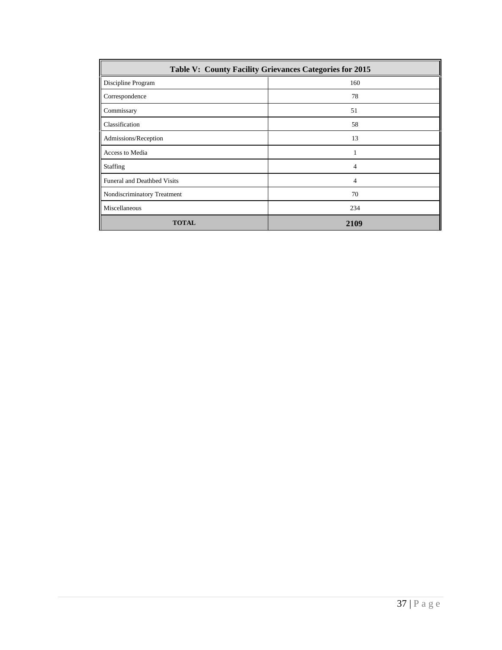| <b>Table V: County Facility Grievances Categories for 2015</b> |                |  |  |  |
|----------------------------------------------------------------|----------------|--|--|--|
| Discipline Program                                             | 160            |  |  |  |
| Correspondence                                                 | 78             |  |  |  |
| Commissary                                                     | 51             |  |  |  |
| Classification                                                 | 58             |  |  |  |
| Admissions/Reception                                           | 13             |  |  |  |
| Access to Media                                                | 1              |  |  |  |
| <b>Staffing</b>                                                | $\overline{4}$ |  |  |  |
| <b>Funeral and Deathbed Visits</b>                             | $\overline{4}$ |  |  |  |
| Nondiscriminatory Treatment                                    | 70             |  |  |  |
| Miscellaneous                                                  | 234            |  |  |  |
| <b>TOTAL</b>                                                   | 2109           |  |  |  |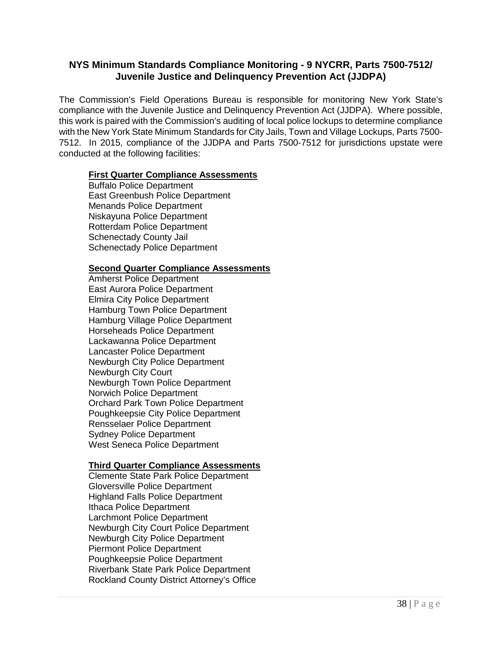# **NYS Minimum Standards Compliance Monitoring - 9 NYCRR, Parts 7500-7512/ Juvenile Justice and Delinquency Prevention Act (JJDPA)**

The Commission's Field Operations Bureau is responsible for monitoring New York State's compliance with the Juvenile Justice and Delinquency Prevention Act (JJDPA). Where possible, this work is paired with the Commission's auditing of local police lockups to determine compliance with the New York State Minimum Standards for City Jails, Town and Village Lockups, Parts 7500- 7512. In 2015, compliance of the JJDPA and Parts 7500-7512 for jurisdictions upstate were conducted at the following facilities:

### **First Quarter Compliance Assessments**

Buffalo Police Department East Greenbush Police Department Menands Police Department Niskayuna Police Department Rotterdam Police Department Schenectady County Jail Schenectady Police Department

### **Second Quarter Compliance Assessments**

Amherst Police Department East Aurora Police Department Elmira City Police Department Hamburg Town Police Department Hamburg Village Police Department Horseheads Police Department Lackawanna Police Department Lancaster Police Department Newburgh City Police Department Newburgh City Court Newburgh Town Police Department Norwich Police Department Orchard Park Town Police Department Poughkeepsie City Police Department Rensselaer Police Department Sydney Police Department West Seneca Police Department

# **Third Quarter Compliance Assessments**

Clemente State Park Police Department Gloversville Police Department Highland Falls Police Department Ithaca Police Department Larchmont Police Department Newburgh City Court Police Department Newburgh City Police Department Piermont Police Department Poughkeepsie Police Department Riverbank State Park Police Department Rockland County District Attorney's Office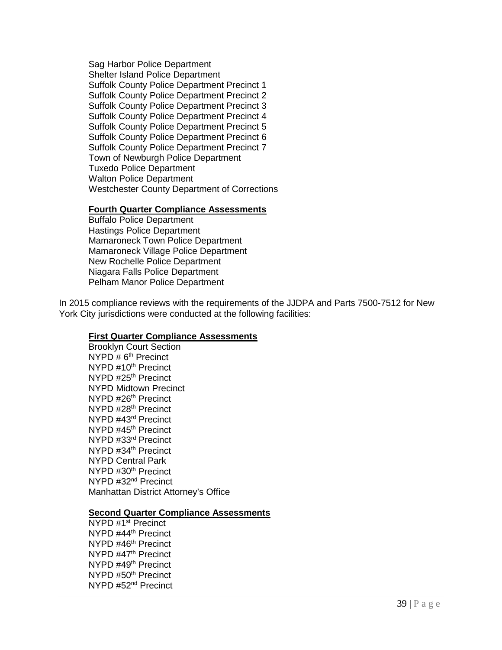Sag Harbor Police Department Shelter Island Police Department Suffolk County Police Department Precinct 1 Suffolk County Police Department Precinct 2 Suffolk County Police Department Precinct 3 Suffolk County Police Department Precinct 4 Suffolk County Police Department Precinct 5 Suffolk County Police Department Precinct 6 Suffolk County Police Department Precinct 7 Town of Newburgh Police Department Tuxedo Police Department Walton Police Department Westchester County Department of Corrections

#### **Fourth Quarter Compliance Assessments**

Buffalo Police Department Hastings Police Department Mamaroneck Town Police Department Mamaroneck Village Police Department New Rochelle Police Department Niagara Falls Police Department Pelham Manor Police Department

In 2015 compliance reviews with the requirements of the JJDPA and Parts 7500-7512 for New York City jurisdictions were conducted at the following facilities:

#### **First Quarter Compliance Assessments**

Brooklyn Court Section NYPD  $# 6<sup>th</sup>$  Precinct NYPD #10<sup>th</sup> Precinct NYPD #25th Precinct NYPD Midtown Precinct NYPD #26th Precinct NYPD #28th Precinct NYPD #43rd Precinct NYPD #45<sup>th</sup> Precinct NYPD #33rd Precinct NYPD #34th Precinct NYPD Central Park NYPD #30<sup>th</sup> Precinct NYPD #32nd Precinct Manhattan District Attorney's Office

#### **Second Quarter Compliance Assessments**

NYPD #1st Precinct NYPD #44th Precinct NYPD #46<sup>th</sup> Precinct NYPD #47<sup>th</sup> Precinct NYPD #49<sup>th</sup> Precinct NYPD #50<sup>th</sup> Precinct NYPD #52nd Precinct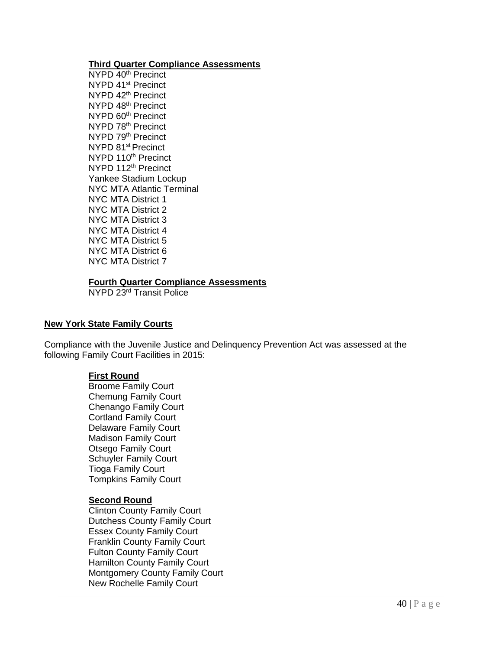#### **Third Quarter Compliance Assessments**

NYPD 40<sup>th</sup> Precinct NYPD 41<sup>st</sup> Precinct NYPD 42<sup>th</sup> Precinct NYPD 48th Precinct NYPD 60<sup>th</sup> Precinct NYPD 78<sup>th</sup> Precinct NYPD 79<sup>th</sup> Precinct NYPD 81<sup>st</sup> Precinct NYPD 110<sup>th</sup> Precinct NYPD 112<sup>th</sup> Precinct Yankee Stadium Lockup NYC MTA Atlantic Terminal NYC MTA District 1 NYC MTA District 2 NYC MTA District 3 NYC MTA District 4 NYC MTA District 5 NYC MTA District 6 NYC MTA District 7

# **Fourth Quarter Compliance Assessments**

NYPD 23rd Transit Police

#### **New York State Family Courts**

Compliance with the Juvenile Justice and Delinquency Prevention Act was assessed at the following Family Court Facilities in 2015:

#### **First Round**

Broome Family Court Chemung Family Court Chenango Family Court Cortland Family Court Delaware Family Court Madison Family Court Otsego Family Court Schuyler Family Court Tioga Family Court Tompkins Family Court

#### **Second Round**

Clinton County Family Court Dutchess County Family Court Essex County Family Court Franklin County Family Court Fulton County Family Court Hamilton County Family Court Montgomery County Family Court New Rochelle Family Court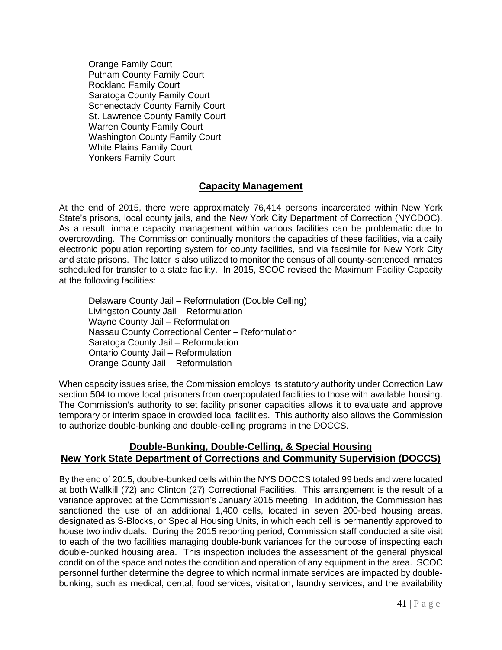Orange Family Court Putnam County Family Court Rockland Family Court Saratoga County Family Court Schenectady County Family Court St. Lawrence County Family Court Warren County Family Court Washington County Family Court White Plains Family Court Yonkers Family Court

# **Capacity Management**

At the end of 2015, there were approximately 76,414 persons incarcerated within New York State's prisons, local county jails, and the New York City Department of Correction (NYCDOC). As a result, inmate capacity management within various facilities can be problematic due to overcrowding. The Commission continually monitors the capacities of these facilities, via a daily electronic population reporting system for county facilities, and via facsimile for New York City and state prisons. The latter is also utilized to monitor the census of all county-sentenced inmates scheduled for transfer to a state facility. In 2015, SCOC revised the Maximum Facility Capacity at the following facilities:

Delaware County Jail – Reformulation (Double Celling) Livingston County Jail – Reformulation Wayne County Jail – Reformulation Nassau County Correctional Center – Reformulation Saratoga County Jail – Reformulation Ontario County Jail – Reformulation Orange County Jail – Reformulation

When capacity issues arise, the Commission employs its statutory authority under Correction Law section 504 to move local prisoners from overpopulated facilities to those with available housing. The Commission's authority to set facility prisoner capacities allows it to evaluate and approve temporary or interim space in crowded local facilities. This authority also allows the Commission to authorize double-bunking and double-celling programs in the DOCCS.

# **Double-Bunking, Double-Celling, & Special Housing New York State Department of Corrections and Community Supervision (DOCCS)**

By the end of 2015, double-bunked cells within the NYS DOCCS totaled 99 beds and were located at both Wallkill (72) and Clinton (27) Correctional Facilities. This arrangement is the result of a variance approved at the Commission's January 2015 meeting. In addition, the Commission has sanctioned the use of an additional 1,400 cells, located in seven 200-bed housing areas, designated as S-Blocks, or Special Housing Units, in which each cell is permanently approved to house two individuals. During the 2015 reporting period, Commission staff conducted a site visit to each of the two facilities managing double-bunk variances for the purpose of inspecting each double-bunked housing area. This inspection includes the assessment of the general physical condition of the space and notes the condition and operation of any equipment in the area. SCOC personnel further determine the degree to which normal inmate services are impacted by doublebunking, such as medical, dental, food services, visitation, laundry services, and the availability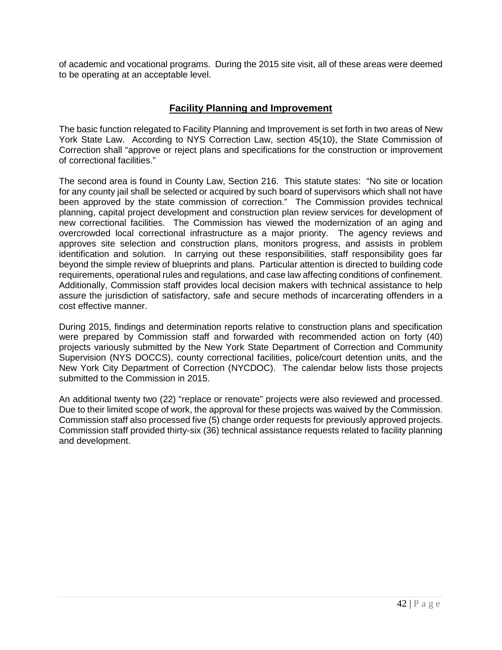of academic and vocational programs. During the 2015 site visit, all of these areas were deemed to be operating at an acceptable level.

# **Facility Planning and Improvement**

The basic function relegated to Facility Planning and Improvement is set forth in two areas of New York State Law. According to NYS Correction Law, section 45(10), the State Commission of Correction shall "approve or reject plans and specifications for the construction or improvement of correctional facilities."

The second area is found in County Law, Section 216. This statute states: "No site or location for any county jail shall be selected or acquired by such board of supervisors which shall not have been approved by the state commission of correction." The Commission provides technical planning, capital project development and construction plan review services for development of new correctional facilities. The Commission has viewed the modernization of an aging and overcrowded local correctional infrastructure as a major priority. The agency reviews and approves site selection and construction plans, monitors progress, and assists in problem identification and solution. In carrying out these responsibilities, staff responsibility goes far beyond the simple review of blueprints and plans. Particular attention is directed to building code requirements, operational rules and regulations, and case law affecting conditions of confinement. Additionally, Commission staff provides local decision makers with technical assistance to help assure the jurisdiction of satisfactory, safe and secure methods of incarcerating offenders in a cost effective manner.

During 2015, findings and determination reports relative to construction plans and specification were prepared by Commission staff and forwarded with recommended action on forty (40) projects variously submitted by the New York State Department of Correction and Community Supervision (NYS DOCCS), county correctional facilities, police/court detention units, and the New York City Department of Correction (NYCDOC). The calendar below lists those projects submitted to the Commission in 2015.

An additional twenty two (22) "replace or renovate" projects were also reviewed and processed. Due to their limited scope of work, the approval for these projects was waived by the Commission. Commission staff also processed five (5) change order requests for previously approved projects. Commission staff provided thirty-six (36) technical assistance requests related to facility planning and development.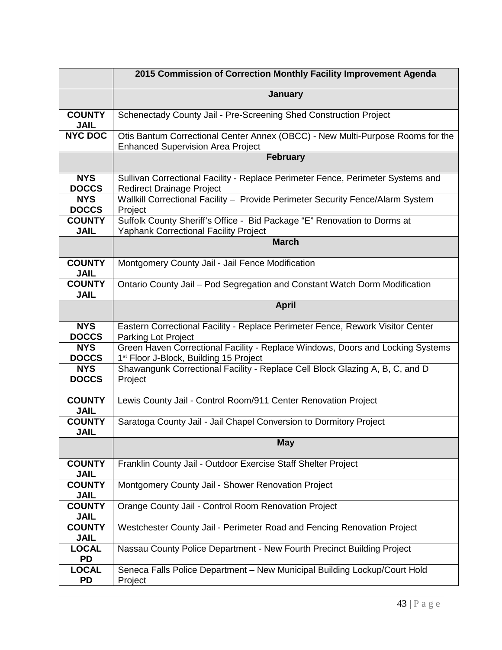|                              | 2015 Commission of Correction Monthly Facility Improvement Agenda                                                                    |  |  |  |  |
|------------------------------|--------------------------------------------------------------------------------------------------------------------------------------|--|--|--|--|
|                              | <b>January</b>                                                                                                                       |  |  |  |  |
| <b>COUNTY</b><br><b>JAIL</b> | Schenectady County Jail - Pre-Screening Shed Construction Project                                                                    |  |  |  |  |
| <b>NYC DOC</b>               | Otis Bantum Correctional Center Annex (OBCC) - New Multi-Purpose Rooms for the<br><b>Enhanced Supervision Area Project</b>           |  |  |  |  |
|                              | <b>February</b>                                                                                                                      |  |  |  |  |
| <b>NYS</b><br><b>DOCCS</b>   | Sullivan Correctional Facility - Replace Perimeter Fence, Perimeter Systems and<br><b>Redirect Drainage Project</b>                  |  |  |  |  |
| <b>NYS</b><br><b>DOCCS</b>   | Wallkill Correctional Facility - Provide Perimeter Security Fence/Alarm System<br>Project                                            |  |  |  |  |
| <b>COUNTY</b><br><b>JAIL</b> | Suffolk County Sheriff's Office - Bid Package "E" Renovation to Dorms at<br>Yaphank Correctional Facility Project                    |  |  |  |  |
|                              | <b>March</b>                                                                                                                         |  |  |  |  |
| <b>COUNTY</b><br><b>JAIL</b> | Montgomery County Jail - Jail Fence Modification                                                                                     |  |  |  |  |
| <b>COUNTY</b><br><b>JAIL</b> | Ontario County Jail - Pod Segregation and Constant Watch Dorm Modification                                                           |  |  |  |  |
|                              | <b>April</b>                                                                                                                         |  |  |  |  |
| <b>NYS</b><br><b>DOCCS</b>   | Eastern Correctional Facility - Replace Perimeter Fence, Rework Visitor Center<br><b>Parking Lot Project</b>                         |  |  |  |  |
| <b>NYS</b><br><b>DOCCS</b>   | Green Haven Correctional Facility - Replace Windows, Doors and Locking Systems<br>1 <sup>st</sup> Floor J-Block, Building 15 Project |  |  |  |  |
| <b>NYS</b><br><b>DOCCS</b>   | Shawangunk Correctional Facility - Replace Cell Block Glazing A, B, C, and D<br>Project                                              |  |  |  |  |
| <b>COUNTY</b><br><b>JAIL</b> | Lewis County Jail - Control Room/911 Center Renovation Project                                                                       |  |  |  |  |
| <b>COUNTY</b><br><b>JAIL</b> | Saratoga County Jail - Jail Chapel Conversion to Dormitory Project                                                                   |  |  |  |  |
|                              | <b>May</b>                                                                                                                           |  |  |  |  |
| <b>COUNTY</b><br><b>JAIL</b> | Franklin County Jail - Outdoor Exercise Staff Shelter Project                                                                        |  |  |  |  |
| <b>COUNTY</b><br><b>JAIL</b> | Montgomery County Jail - Shower Renovation Project                                                                                   |  |  |  |  |
| <b>COUNTY</b><br><b>JAIL</b> | Orange County Jail - Control Room Renovation Project                                                                                 |  |  |  |  |
| <b>COUNTY</b><br><b>JAIL</b> | Westchester County Jail - Perimeter Road and Fencing Renovation Project                                                              |  |  |  |  |
| <b>LOCAL</b><br><b>PD</b>    | Nassau County Police Department - New Fourth Precinct Building Project                                                               |  |  |  |  |
| <b>LOCAL</b><br><b>PD</b>    | Seneca Falls Police Department - New Municipal Building Lockup/Court Hold<br>Project                                                 |  |  |  |  |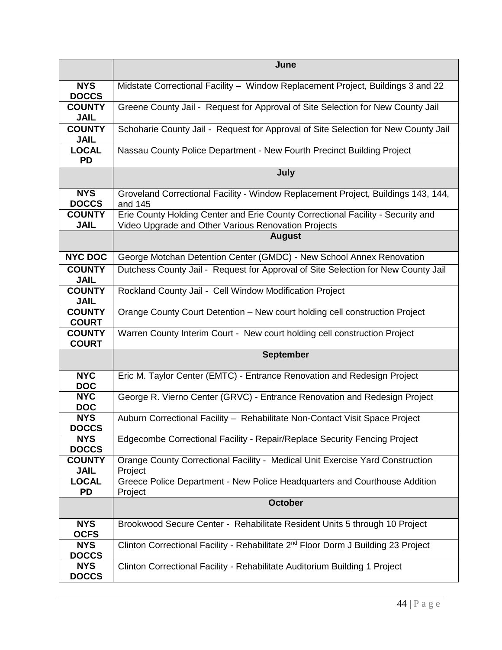|                               | June                                                                                                                                   |  |  |  |  |
|-------------------------------|----------------------------------------------------------------------------------------------------------------------------------------|--|--|--|--|
| <b>NYS</b><br><b>DOCCS</b>    | Midstate Correctional Facility - Window Replacement Project, Buildings 3 and 22                                                        |  |  |  |  |
| <b>COUNTY</b><br><b>JAIL</b>  | Greene County Jail - Request for Approval of Site Selection for New County Jail                                                        |  |  |  |  |
| <b>COUNTY</b><br><b>JAIL</b>  | Schoharie County Jail - Request for Approval of Site Selection for New County Jail                                                     |  |  |  |  |
| <b>LOCAL</b><br><b>PD</b>     | Nassau County Police Department - New Fourth Precinct Building Project                                                                 |  |  |  |  |
|                               | July                                                                                                                                   |  |  |  |  |
| <b>NYS</b><br><b>DOCCS</b>    | Groveland Correctional Facility - Window Replacement Project, Buildings 143, 144,<br>and 145                                           |  |  |  |  |
| <b>COUNTY</b><br><b>JAIL</b>  | Erie County Holding Center and Erie County Correctional Facility - Security and<br>Video Upgrade and Other Various Renovation Projects |  |  |  |  |
|                               | <b>August</b>                                                                                                                          |  |  |  |  |
| <b>NYC DOC</b>                | George Motchan Detention Center (GMDC) - New School Annex Renovation                                                                   |  |  |  |  |
| <b>COUNTY</b><br><b>JAIL</b>  | Dutchess County Jail - Request for Approval of Site Selection for New County Jail                                                      |  |  |  |  |
| <b>COUNTY</b><br><b>JAIL</b>  | Rockland County Jail - Cell Window Modification Project                                                                                |  |  |  |  |
| <b>COUNTY</b><br><b>COURT</b> | Orange County Court Detention - New court holding cell construction Project                                                            |  |  |  |  |
| <b>COUNTY</b><br><b>COURT</b> | Warren County Interim Court - New court holding cell construction Project                                                              |  |  |  |  |
|                               | <b>September</b>                                                                                                                       |  |  |  |  |
| <b>NYC</b><br><b>DOC</b>      | Eric M. Taylor Center (EMTC) - Entrance Renovation and Redesign Project                                                                |  |  |  |  |
| <b>NYC</b><br><b>DOC</b>      | George R. Vierno Center (GRVC) - Entrance Renovation and Redesign Project                                                              |  |  |  |  |
| <b>NYS</b><br><b>DOCCS</b>    | Auburn Correctional Facility - Rehabilitate Non-Contact Visit Space Project                                                            |  |  |  |  |
| <b>NYS</b><br><b>DOCCS</b>    | Edgecombe Correctional Facility - Repair/Replace Security Fencing Project                                                              |  |  |  |  |
| <b>COUNTY</b><br><b>JAIL</b>  | Orange County Correctional Facility - Medical Unit Exercise Yard Construction<br>Project                                               |  |  |  |  |
| <b>LOCAL</b><br><b>PD</b>     | Greece Police Department - New Police Headquarters and Courthouse Addition<br>Project                                                  |  |  |  |  |
|                               | <b>October</b>                                                                                                                         |  |  |  |  |
| <b>NYS</b><br><b>OCFS</b>     | Brookwood Secure Center - Rehabilitate Resident Units 5 through 10 Project                                                             |  |  |  |  |
| <b>NYS</b><br><b>DOCCS</b>    | Clinton Correctional Facility - Rehabilitate 2 <sup>nd</sup> Floor Dorm J Building 23 Project                                          |  |  |  |  |
| <b>NYS</b><br><b>DOCCS</b>    | Clinton Correctional Facility - Rehabilitate Auditorium Building 1 Project                                                             |  |  |  |  |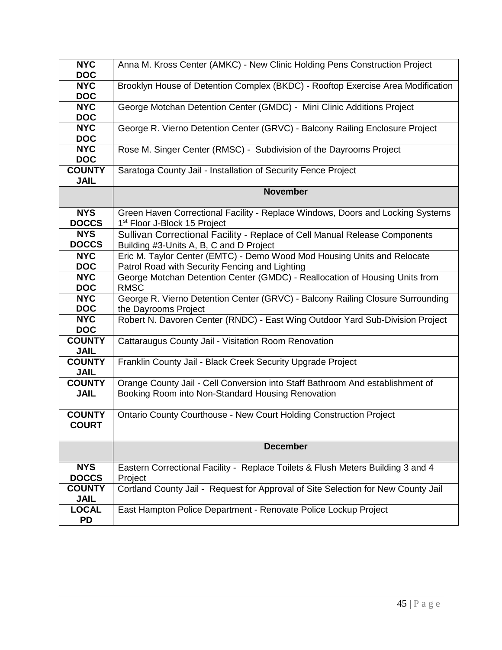| <b>NYC</b><br><b>DOC</b>      | Anna M. Kross Center (AMKC) - New Clinic Holding Pens Construction Project                                                         |
|-------------------------------|------------------------------------------------------------------------------------------------------------------------------------|
| <b>NYC</b><br><b>DOC</b>      | Brooklyn House of Detention Complex (BKDC) - Rooftop Exercise Area Modification                                                    |
| <b>NYC</b><br><b>DOC</b>      | George Motchan Detention Center (GMDC) - Mini Clinic Additions Project                                                             |
| <b>NYC</b><br><b>DOC</b>      | George R. Vierno Detention Center (GRVC) - Balcony Railing Enclosure Project                                                       |
| <b>NYC</b><br><b>DOC</b>      | Rose M. Singer Center (RMSC) - Subdivision of the Dayrooms Project                                                                 |
| <b>COUNTY</b><br><b>JAIL</b>  | Saratoga County Jail - Installation of Security Fence Project                                                                      |
|                               | <b>November</b>                                                                                                                    |
| <b>NYS</b><br><b>DOCCS</b>    | Green Haven Correctional Facility - Replace Windows, Doors and Locking Systems<br>1 <sup>st</sup> Floor J-Block 15 Project         |
| <b>NYS</b><br><b>DOCCS</b>    | Sullivan Correctional Facility - Replace of Cell Manual Release Components<br>Building #3-Units A, B, C and D Project              |
| <b>NYC</b><br><b>DOC</b>      | Eric M. Taylor Center (EMTC) - Demo Wood Mod Housing Units and Relocate<br>Patrol Road with Security Fencing and Lighting          |
| <b>NYC</b><br><b>DOC</b>      | George Motchan Detention Center (GMDC) - Reallocation of Housing Units from<br><b>RMSC</b>                                         |
| <b>NYC</b><br><b>DOC</b>      | George R. Vierno Detention Center (GRVC) - Balcony Railing Closure Surrounding<br>the Dayrooms Project                             |
| <b>NYC</b><br><b>DOC</b>      | Robert N. Davoren Center (RNDC) - East Wing Outdoor Yard Sub-Division Project                                                      |
| <b>COUNTY</b><br><b>JAIL</b>  | Cattaraugus County Jail - Visitation Room Renovation                                                                               |
| <b>COUNTY</b><br><b>JAIL</b>  | Franklin County Jail - Black Creek Security Upgrade Project                                                                        |
| <b>COUNTY</b><br><b>JAIL</b>  | Orange County Jail - Cell Conversion into Staff Bathroom And establishment of<br>Booking Room into Non-Standard Housing Renovation |
| <b>COUNTY</b><br><b>COURT</b> | Ontario County Courthouse - New Court Holding Construction Project                                                                 |
|                               | <b>December</b>                                                                                                                    |
| <b>NYS</b><br><b>DOCCS</b>    | Eastern Correctional Facility - Replace Toilets & Flush Meters Building 3 and 4<br>Project                                         |
| <b>COUNTY</b><br><b>JAIL</b>  | Cortland County Jail - Request for Approval of Site Selection for New County Jail                                                  |
| <b>LOCAL</b><br><b>PD</b>     | East Hampton Police Department - Renovate Police Lockup Project                                                                    |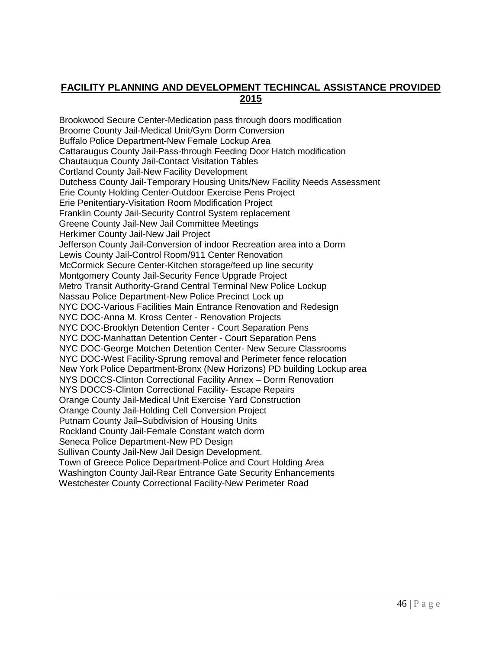# **FACILITY PLANNING AND DEVELOPMENT TECHINCAL ASSISTANCE PROVIDED 2015**

 Brookwood Secure Center-Medication pass through doors modification Broome County Jail-Medical Unit/Gym Dorm Conversion Buffalo Police Department-New Female Lockup Area Cattaraugus County Jail-Pass-through Feeding Door Hatch modification Chautauqua County Jail-Contact Visitation Tables Cortland County Jail-New Facility Development Dutchess County Jail-Temporary Housing Units/New Facility Needs Assessment Erie County Holding Center-Outdoor Exercise Pens Project Erie Penitentiary-Visitation Room Modification Project Franklin County Jail-Security Control System replacement Greene County Jail-New Jail Committee Meetings Herkimer County Jail-New Jail Project Jefferson County Jail-Conversion of indoor Recreation area into a Dorm Lewis County Jail-Control Room/911 Center Renovation McCormick Secure Center-Kitchen storage/feed up line security Montgomery County Jail-Security Fence Upgrade Project Metro Transit Authority-Grand Central Terminal New Police Lockup Nassau Police Department-New Police Precinct Lock up NYC DOC-Various Facilities Main Entrance Renovation and Redesign NYC DOC-Anna M. Kross Center - Renovation Projects NYC DOC-Brooklyn Detention Center - Court Separation Pens NYC DOC-Manhattan Detention Center - Court Separation Pens NYC DOC-George Motchen Detention Center- New Secure Classrooms NYC DOC-West Facility-Sprung removal and Perimeter fence relocation New York Police Department-Bronx (New Horizons) PD building Lockup area NYS DOCCS-Clinton Correctional Facility Annex – Dorm Renovation NYS DOCCS-Clinton Correctional Facility- Escape Repairs Orange County Jail-Medical Unit Exercise Yard Construction Orange County Jail-Holding Cell Conversion Project Putnam County Jail–Subdivision of Housing Units Rockland County Jail-Female Constant watch dorm Seneca Police Department-New PD Design Sullivan County Jail-New Jail Design Development. Town of Greece Police Department-Police and Court Holding Area Washington County Jail-Rear Entrance Gate Security Enhancements Westchester County Correctional Facility-New Perimeter Road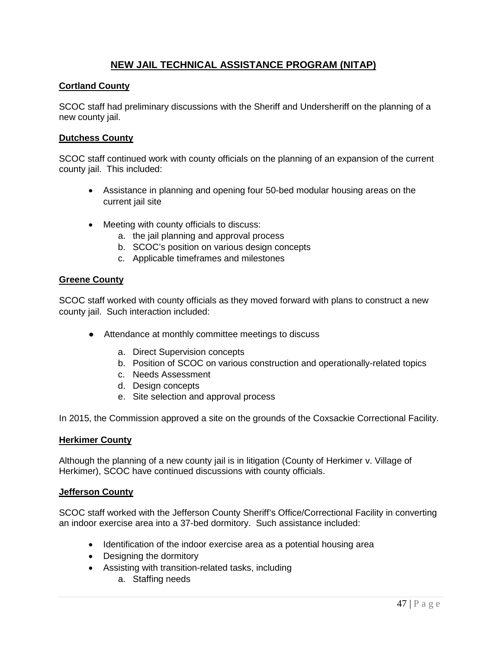# **NEW JAIL TECHNICAL ASSISTANCE PROGRAM (NITAP)**

# **Cortland County**

SCOC staff had preliminary discussions with the Sheriff and Undersheriff on the planning of a new county jail.

# **Dutchess County**

SCOC staff continued work with county officials on the planning of an expansion of the current county jail. This included:

- Assistance in planning and opening four 50-bed modular housing areas on the current jail site
- Meeting with county officials to discuss:
	- a. the jail planning and approval process
	- b. SCOC's position on various design concepts
	- c. Applicable timeframes and milestones

# **Greene County**

SCOC staff worked with county officials as they moved forward with plans to construct a new county jail. Such interaction included:

- Attendance at monthly committee meetings to discuss
	- a. Direct Supervision concepts
	- b. Position of SCOC on various construction and operationally-related topics
	- c. Needs Assessment
	- d. Design concepts
	- e. Site selection and approval process

In 2015, the Commission approved a site on the grounds of the Coxsackie Correctional Facility.

# **Herkimer County**

Although the planning of a new county jail is in litigation (County of Herkimer v. Village of Herkimer), SCOC have continued discussions with county officials.

#### **Jefferson County**

SCOC staff worked with the Jefferson County Sheriff's Office/Correctional Facility in converting an indoor exercise area into a 37-bed dormitory. Such assistance included:

- Identification of the indoor exercise area as a potential housing area
- Designing the dormitory
- Assisting with transition-related tasks, including
	- a. Staffing needs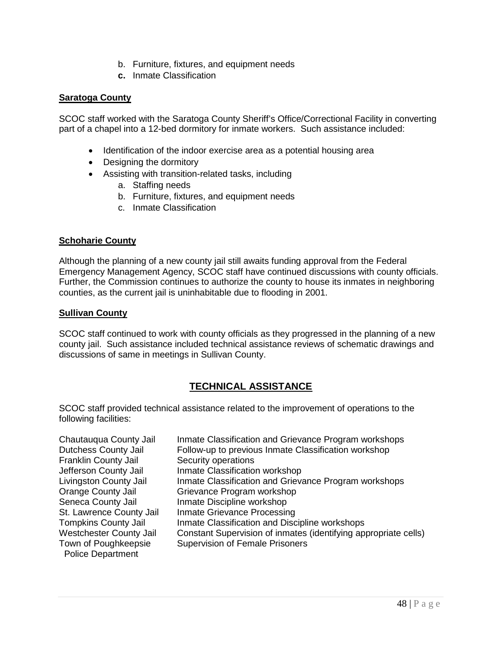- b. Furniture, fixtures, and equipment needs
- **c.** Inmate Classification

# **Saratoga County**

SCOC staff worked with the Saratoga County Sheriff's Office/Correctional Facility in converting part of a chapel into a 12-bed dormitory for inmate workers. Such assistance included:

- Identification of the indoor exercise area as a potential housing area
- Designing the dormitory
- Assisting with transition-related tasks, including
	- a. Staffing needs
	- b. Furniture, fixtures, and equipment needs
	- c. Inmate Classification

# **Schoharie County**

Although the planning of a new county jail still awaits funding approval from the Federal Emergency Management Agency, SCOC staff have continued discussions with county officials. Further, the Commission continues to authorize the county to house its inmates in neighboring counties, as the current jail is uninhabitable due to flooding in 2001.

# **Sullivan County**

SCOC staff continued to work with county officials as they progressed in the planning of a new county jail. Such assistance included technical assistance reviews of schematic drawings and discussions of same in meetings in Sullivan County.

# **TECHNICAL ASSISTANCE**

SCOC staff provided technical assistance related to the improvement of operations to the following facilities:

| Chautauqua County Jail                           | Inmate Classification and Grievance Program workshops           |
|--------------------------------------------------|-----------------------------------------------------------------|
| <b>Dutchess County Jail</b>                      | Follow-up to previous Inmate Classification workshop            |
| Franklin County Jail                             | Security operations                                             |
| Jefferson County Jail                            | Inmate Classification workshop                                  |
| Livingston County Jail                           | Inmate Classification and Grievance Program workshops           |
| <b>Orange County Jail</b>                        | Grievance Program workshop                                      |
| Seneca County Jail                               | Inmate Discipline workshop                                      |
| St. Lawrence County Jail                         | Inmate Grievance Processing                                     |
| <b>Tompkins County Jail</b>                      | Inmate Classification and Discipline workshops                  |
| <b>Westchester County Jail</b>                   | Constant Supervision of inmates (identifying appropriate cells) |
| Town of Poughkeepsie<br><b>Police Department</b> | <b>Supervision of Female Prisoners</b>                          |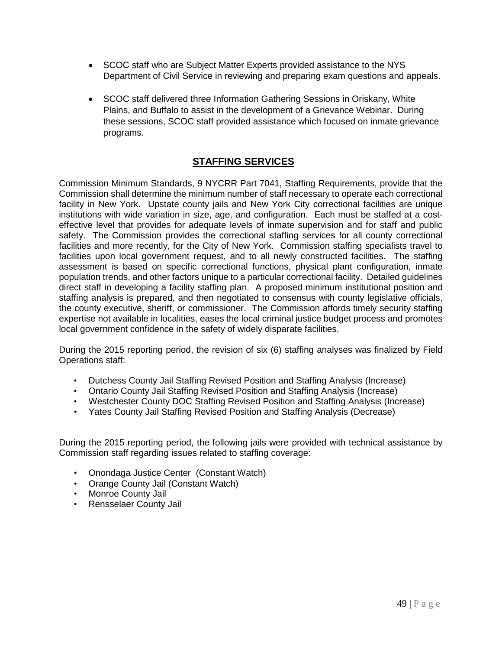- SCOC staff who are Subject Matter Experts provided assistance to the NYS Department of Civil Service in reviewing and preparing exam questions and appeals.
- SCOC staff delivered three Information Gathering Sessions in Oriskany, White Plains, and Buffalo to assist in the development of a Grievance Webinar. During these sessions, SCOC staff provided assistance which focused on inmate grievance programs.

# **STAFFING SERVICES**

Commission Minimum Standards, 9 NYCRR Part 7041, Staffing Requirements, provide that the Commission shall determine the minimum number of staff necessary to operate each correctional facility in New York. Upstate county jails and New York City correctional facilities are unique institutions with wide variation in size, age, and configuration. Each must be staffed at a costeffective level that provides for adequate levels of inmate supervision and for staff and public safety. The Commission provides the correctional staffing services for all county correctional facilities and more recently, for the City of New York. Commission staffing specialists travel to facilities upon local government request, and to all newly constructed facilities. The staffing assessment is based on specific correctional functions, physical plant configuration, inmate population trends, and other factors unique to a particular correctional facility. Detailed guidelines direct staff in developing a facility staffing plan. A proposed minimum institutional position and staffing analysis is prepared, and then negotiated to consensus with county legislative officials, the county executive, sheriff, or commissioner. The Commission affords timely security staffing expertise not available in localities, eases the local criminal justice budget process and promotes local government confidence in the safety of widely disparate facilities.

During the 2015 reporting period, the revision of six (6) staffing analyses was finalized by Field Operations staff:

- Dutchess County Jail Staffing Revised Position and Staffing Analysis (Increase)
- Ontario County Jail Staffing Revised Position and Staffing Analysis (Increase)
- Westchester County DOC Staffing Revised Position and Staffing Analysis (Increase)
- Yates County Jail Staffing Revised Position and Staffing Analysis (Decrease)

During the 2015 reporting period, the following jails were provided with technical assistance by Commission staff regarding issues related to staffing coverage:

- Onondaga Justice Center (Constant Watch)
- Orange County Jail (Constant Watch)
- Monroe County Jail
- Rensselaer County Jail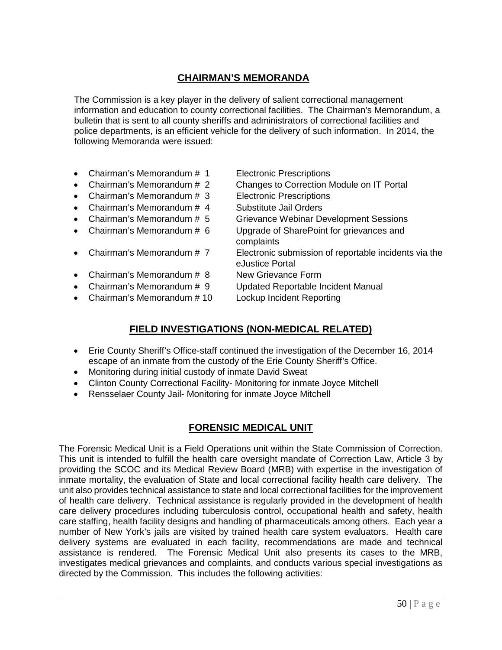# **CHAIRMAN'S MEMORANDA**

The Commission is a key player in the delivery of salient correctional management information and education to county correctional facilities. The Chairman's Memorandum, a bulletin that is sent to all county sheriffs and administrators of correctional facilities and police departments, is an efficient vehicle for the delivery of such information. In 2014, the following Memoranda were issued:

- Chairman's Memorandum # 1 Electronic Prescriptions
- 
- Chairman's Memorandum # 3 Electronic Prescriptions
- Chairman's Memorandum # 4 Substitute Jail Orders
- 
- 
- 
- Chairman's Memorandum # 8 New Grievance Form
- 
- Chairman's Memorandum # 10 Lockup Incident Reporting
- 
- Chairman's Memorandum # 2 Changes to Correction Module on IT Portal
	-
	-
- Chairman's Memorandum # 5 Grievance Webinar Development Sessions
- Chairman's Memorandum # 6 Upgrade of SharePoint for grievances and complaints
- Chairman's Memorandum # 7 Electronic submission of reportable incidents via the eJustice Portal
	-
- Chairman's Memorandum # 9 Updated Reportable Incident Manual
	-

# **FIELD INVESTIGATIONS (NON-MEDICAL RELATED)**

- Erie County Sheriff's Office-staff continued the investigation of the December 16, 2014 escape of an inmate from the custody of the Erie County Sheriff's Office.
- Monitoring during initial custody of inmate David Sweat
- Clinton County Correctional Facility- Monitoring for inmate Joyce Mitchell
- Rensselaer County Jail- Monitoring for inmate Joyce Mitchell

# **FORENSIC MEDICAL UNIT**

The Forensic Medical Unit is a Field Operations unit within the State Commission of Correction. This unit is intended to fulfill the health care oversight mandate of Correction Law, Article 3 by providing the SCOC and its Medical Review Board (MRB) with expertise in the investigation of inmate mortality, the evaluation of State and local correctional facility health care delivery. The unit also provides technical assistance to state and local correctional facilities for the improvement of health care delivery. Technical assistance is regularly provided in the development of health care delivery procedures including tuberculosis control, occupational health and safety, health care staffing, health facility designs and handling of pharmaceuticals among others. Each year a number of New York's jails are visited by trained health care system evaluators. Health care delivery systems are evaluated in each facility, recommendations are made and technical assistance is rendered. The Forensic Medical Unit also presents its cases to the MRB, investigates medical grievances and complaints, and conducts various special investigations as directed by the Commission. This includes the following activities: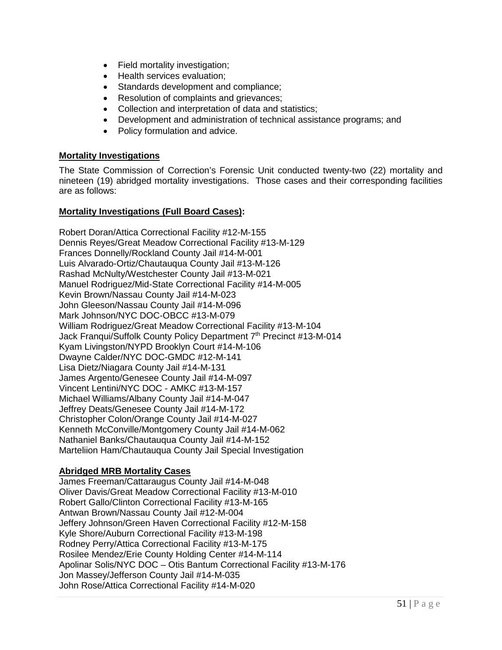- Field mortality investigation;
- Health services evaluation;
- Standards development and compliance;
- Resolution of complaints and grievances;
- Collection and interpretation of data and statistics;
- Development and administration of technical assistance programs; and
- Policy formulation and advice.

# **Mortality Investigations**

The State Commission of Correction's Forensic Unit conducted twenty-two (22) mortality and nineteen (19) abridged mortality investigations. Those cases and their corresponding facilities are as follows:

### **Mortality Investigations (Full Board Cases):**

Robert Doran/Attica Correctional Facility #12-M-155 Dennis Reyes/Great Meadow Correctional Facility #13-M-129 Frances Donnelly/Rockland County Jail #14-M-001 Luis Alvarado-Ortiz/Chautauqua County Jail #13-M-126 Rashad McNulty/Westchester County Jail #13-M-021 Manuel Rodriguez/Mid-State Correctional Facility #14-M-005 Kevin Brown/Nassau County Jail #14-M-023 John Gleeson/Nassau County Jail #14-M-096 Mark Johnson/NYC DOC-OBCC #13-M-079 William Rodriguez/Great Meadow Correctional Facility #13-M-104 Jack Franqui/Suffolk County Policy Department 7<sup>th</sup> Precinct #13-M-014 Kyam Livingston/NYPD Brooklyn Court #14-M-106 Dwayne Calder/NYC DOC-GMDC #12-M-141 Lisa Dietz/Niagara County Jail #14-M-131 James Argento/Genesee County Jail #14-M-097 Vincent Lentini/NYC DOC - AMKC #13-M-157 Michael Williams/Albany County Jail #14-M-047 Jeffrey Deats/Genesee County Jail #14-M-172 Christopher Colon/Orange County Jail #14-M-027 Kenneth McConville/Montgomery County Jail #14-M-062 Nathaniel Banks/Chautauqua County Jail #14-M-152 Marteliion Ham/Chautauqua County Jail Special Investigation

# **Abridged MRB Mortality Cases**

James Freeman/Cattaraugus County Jail #14-M-048 Oliver Davis/Great Meadow Correctional Facility #13-M-010 Robert Gallo/Clinton Correctional Facility #13-M-165 Antwan Brown/Nassau County Jail #12-M-004 Jeffery Johnson/Green Haven Correctional Facility #12-M-158 Kyle Shore/Auburn Correctional Facility #13-M-198 Rodney Perry/Attica Correctional Facility #13-M-175 Rosilee Mendez/Erie County Holding Center #14-M-114 Apolinar Solis/NYC DOC – Otis Bantum Correctional Facility #13-M-176 Jon Massey/Jefferson County Jail #14-M-035 John Rose/Attica Correctional Facility #14-M-020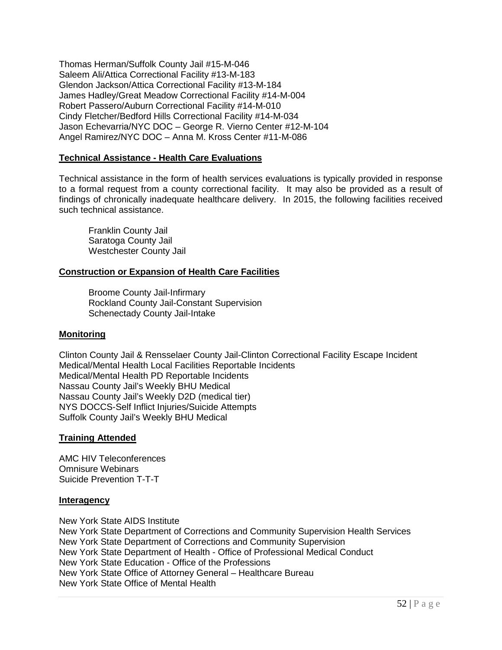Thomas Herman/Suffolk County Jail #15-M-046 Saleem Ali/Attica Correctional Facility #13-M-183 Glendon Jackson/Attica Correctional Facility #13-M-184 James Hadley/Great Meadow Correctional Facility #14-M-004 Robert Passero/Auburn Correctional Facility #14-M-010 Cindy Fletcher/Bedford Hills Correctional Facility #14-M-034 Jason Echevarria/NYC DOC – George R. Vierno Center #12-M-104 Angel Ramirez/NYC DOC – Anna M. Kross Center #11-M-086

# **Technical Assistance - Health Care Evaluations**

Technical assistance in the form of health services evaluations is typically provided in response to a formal request from a county correctional facility. It may also be provided as a result of findings of chronically inadequate healthcare delivery. In 2015, the following facilities received such technical assistance.

Franklin County Jail Saratoga County Jail Westchester County Jail

# **Construction or Expansion of Health Care Facilities**

Broome County Jail-Infirmary Rockland County Jail-Constant Supervision Schenectady County Jail-Intake

# **Monitoring**

Clinton County Jail & Rensselaer County Jail-Clinton Correctional Facility Escape Incident Medical/Mental Health Local Facilities Reportable Incidents Medical/Mental Health PD Reportable Incidents Nassau County Jail's Weekly BHU Medical Nassau County Jail's Weekly D2D (medical tier) NYS DOCCS-Self Inflict Injuries/Suicide Attempts Suffolk County Jail's Weekly BHU Medical

#### **Training Attended**

AMC HIV Teleconferences Omnisure Webinars Suicide Prevention T-T-T

#### **Interagency**

New York State AIDS Institute New York State Department of Corrections and Community Supervision Health Services New York State Department of Corrections and Community Supervision New York State Department of Health - Office of Professional Medical Conduct New York State Education - Office of the Professions New York State Office of Attorney General – Healthcare Bureau New York State Office of Mental Health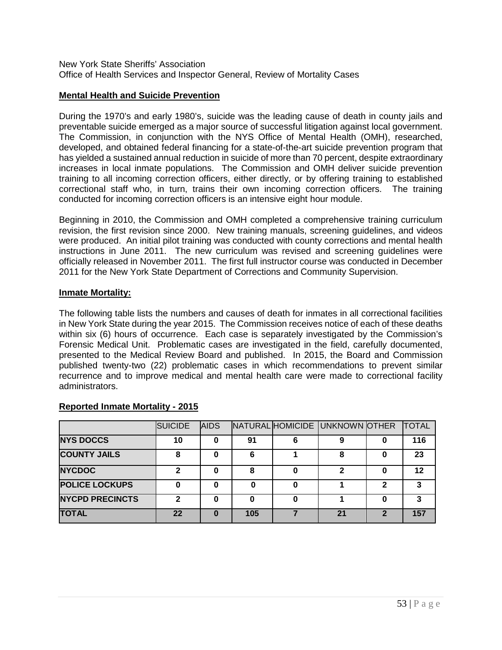New York State Sheriffs' Association Office of Health Services and Inspector General, Review of Mortality Cases

### **Mental Health and Suicide Prevention**

During the 1970's and early 1980's, suicide was the leading cause of death in county jails and preventable suicide emerged as a major source of successful litigation against local government. The Commission, in conjunction with the NYS Office of Mental Health (OMH), researched, developed, and obtained federal financing for a state-of-the-art suicide prevention program that has yielded a sustained annual reduction in suicide of more than 70 percent, despite extraordinary increases in local inmate populations. The Commission and OMH deliver suicide prevention training to all incoming correction officers, either directly, or by offering training to established correctional staff who, in turn, trains their own incoming correction officers. The training conducted for incoming correction officers is an intensive eight hour module.

Beginning in 2010, the Commission and OMH completed a comprehensive training curriculum revision, the first revision since 2000. New training manuals, screening guidelines, and videos were produced. An initial pilot training was conducted with county corrections and mental health instructions in June 2011. The new curriculum was revised and screening guidelines were officially released in November 2011. The first full instructor course was conducted in December 2011 for the New York State Department of Corrections and Community Supervision.

#### **Inmate Mortality:**

The following table lists the numbers and causes of death for inmates in all correctional facilities in New York State during the year 2015. The Commission receives notice of each of these deaths within six (6) hours of occurrence. Each case is separately investigated by the Commission's Forensic Medical Unit. Problematic cases are investigated in the field, carefully documented, presented to the Medical Review Board and published. In 2015, the Board and Commission published twenty-two (22) problematic cases in which recommendations to prevent similar recurrence and to improve medical and mental health care were made to correctional facility administrators.

|                        | <b>SUICIDE</b> | <b>AIDS</b> |     |   | NATURAL HOMICIDE UNKNOWN OTHER |   | <b>TOTAL</b> |
|------------------------|----------------|-------------|-----|---|--------------------------------|---|--------------|
| <b>NYS DOCCS</b>       | 10             |             | 91  | 6 | 9                              |   | 116          |
| <b>COUNTY JAILS</b>    | 8              |             | 6   |   | 8                              |   | 23           |
| <b>NYCDOC</b>          | າ              |             | 8   |   | າ                              |   | 12           |
| <b>POLICE LOCKUPS</b>  |                |             | O   |   |                                | 2 |              |
| <b>NYCPD PRECINCTS</b> |                |             | Ω   |   |                                |   |              |
| <b>TOTAL</b>           | 22             |             | 105 |   | 21                             | 2 | 157          |

#### **Reported Inmate Mortality - 2015**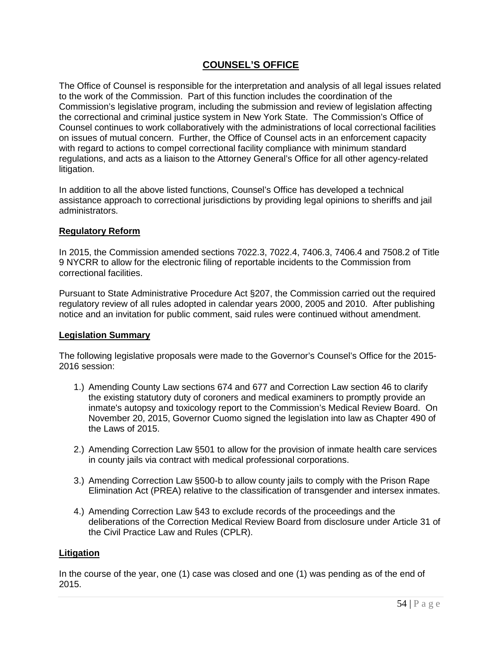# **COUNSEL'S OFFICE**

The Office of Counsel is responsible for the interpretation and analysis of all legal issues related to the work of the Commission. Part of this function includes the coordination of the Commission's legislative program, including the submission and review of legislation affecting the correctional and criminal justice system in New York State. The Commission's Office of Counsel continues to work collaboratively with the administrations of local correctional facilities on issues of mutual concern. Further, the Office of Counsel acts in an enforcement capacity with regard to actions to compel correctional facility compliance with minimum standard regulations, and acts as a liaison to the Attorney General's Office for all other agency-related litigation.

In addition to all the above listed functions, Counsel's Office has developed a technical assistance approach to correctional jurisdictions by providing legal opinions to sheriffs and jail administrators.

#### **Regulatory Reform**

In 2015, the Commission amended sections 7022.3, 7022.4, 7406.3, 7406.4 and 7508.2 of Title 9 NYCRR to allow for the electronic filing of reportable incidents to the Commission from correctional facilities.

Pursuant to State Administrative Procedure Act §207, the Commission carried out the required regulatory review of all rules adopted in calendar years 2000, 2005 and 2010. After publishing notice and an invitation for public comment, said rules were continued without amendment.

# **Legislation Summary**

The following legislative proposals were made to the Governor's Counsel's Office for the 2015- 2016 session:

- 1.) Amending County Law sections 674 and 677 and Correction Law section 46 to clarify the existing statutory duty of coroners and medical examiners to promptly provide an inmate's autopsy and toxicology report to the Commission's Medical Review Board. On November 20, 2015, Governor Cuomo signed the legislation into law as Chapter 490 of the Laws of 2015.
- 2.) Amending Correction Law §501 to allow for the provision of inmate health care services in county jails via contract with medical professional corporations.
- 3.) Amending Correction Law §500-b to allow county jails to comply with the Prison Rape Elimination Act (PREA) relative to the classification of transgender and intersex inmates.
- 4.) Amending Correction Law §43 to exclude records of the proceedings and the deliberations of the Correction Medical Review Board from disclosure under Article 31 of the Civil Practice Law and Rules (CPLR).

# **Litigation**

In the course of the year, one (1) case was closed and one (1) was pending as of the end of 2015.